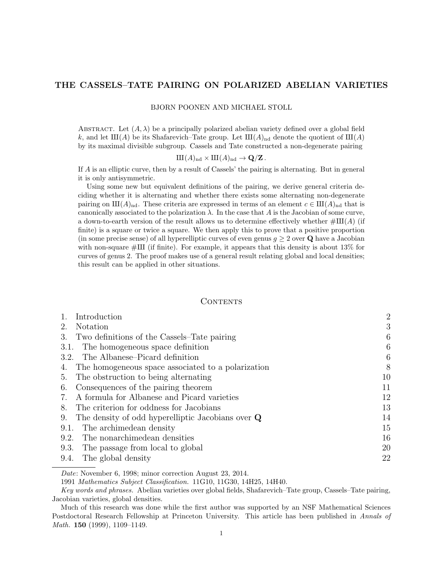# THE CASSELS–TATE PAIRING ON POLARIZED ABELIAN VARIETIES

BJORN POONEN AND MICHAEL STOLL

ABSTRACT. Let  $(A, \lambda)$  be a principally polarized abelian variety defined over a global field k, and let  $III(A)$  be its Shafarevich–Tate group. Let  $III(A)_{nd}$  denote the quotient of  $III(A)$ by its maximal divisible subgroup. Cassels and Tate constructed a non-degenerate pairing

$$
\mathrm{III}(A)_{\mathrm{nd}} \times \mathrm{III}(A)_{\mathrm{nd}} \to \mathbf{Q}/\mathbf{Z}.
$$

If A is an elliptic curve, then by a result of Cassels' the pairing is alternating. But in general it is only antisymmetric.

Using some new but equivalent definitions of the pairing, we derive general criteria deciding whether it is alternating and whether there exists some alternating non-degenerate pairing on  $\text{III}(A)_{\text{nd}}$ . These criteria are expressed in terms of an element  $c \in \text{III}(A)_{\text{nd}}$  that is canonically associated to the polarization  $\lambda$ . In the case that A is the Jacobian of some curve, a down-to-earth version of the result allows us to determine effectively whether  $\#\text{III}(A)$  (if finite) is a square or twice a square. We then apply this to prove that a positive proportion (in some precise sense) of all hyperelliptic curves of even genus  $g \geq 2$  over Q have a Jacobian with non-square  $\#\text{III}$  (if finite). For example, it appears that this density is about 13% for curves of genus 2. The proof makes use of a general result relating global and local densities; this result can be applied in other situations.

#### CONTENTS

| Introduction                                              | $\overline{2}$ |
|-----------------------------------------------------------|----------------|
| <b>Notation</b><br>2.                                     | 3              |
| Two definitions of the Cassels–Tate pairing<br>3.         | 6              |
| The homogeneous space definition<br>3.1.                  | 6              |
| The Albanese–Picard definition<br>3.2.                    | 6              |
| The homogeneous space associated to a polarization<br>4.  | 8              |
| The obstruction to being alternating<br>5.                | 10             |
| Consequences of the pairing theorem<br>6.                 | 11             |
| A formula for Albanese and Picard varieties               | 12             |
| The criterion for oddness for Jacobians<br>8.             | 13             |
| The density of odd hyperelliptic Jacobians over $Q$<br>9. | 14             |
| The archimedean density<br>9.1.                           | 15             |
| The nonarchimedean densities<br>9.2.                      | 16             |
| The passage from local to global<br>9.3.                  | 20             |
| The global density<br>9.4.                                | 22             |
|                                                           |                |

Date: November 6, 1998; minor correction August 23, 2014.

<sup>1991</sup> Mathematics Subject Classification. 11G10, 11G30, 14H25, 14H40.

Key words and phrases. Abelian varieties over global fields, Shafarevich–Tate group, Cassels–Tate pairing, Jacobian varieties, global densities.

Much of this research was done while the first author was supported by an NSF Mathematical Sciences Postdoctoral Research Fellowship at Princeton University. This article has been published in Annals of Math. **150** (1999), 1109-1149.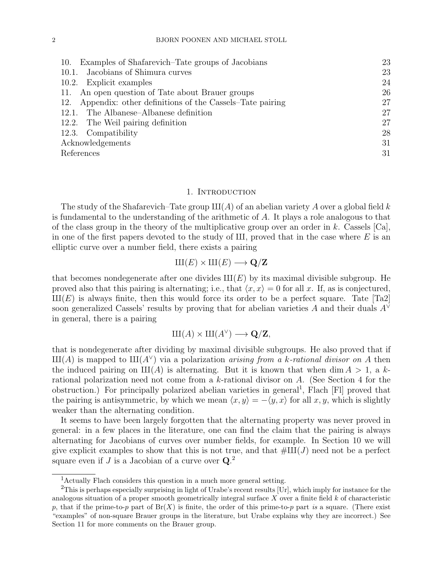| Examples of Shafarevich–Tate groups of Jacobians<br>10.     | 23 |
|-------------------------------------------------------------|----|
| Jacobians of Shimura curves<br>10.1.                        | 23 |
| 10.2. Explicit examples                                     | 24 |
| 11. An open question of Tate about Brauer groups            | 26 |
| 12. Appendix: other definitions of the Cassels–Tate pairing | 27 |
| 12.1. The Albanese–Albanese definition                      | 27 |
| 12.2. The Weil pairing definition                           | 27 |
| 12.3. Compatibility                                         | 28 |
| Acknowledgements                                            | 31 |
| References                                                  | 31 |

### 1. INTRODUCTION

The study of the Shafarevich–Tate group  $III(A)$  of an abelian variety A over a global field k is fundamental to the understanding of the arithmetic of A. It plays a role analogous to that of the class group in the theory of the multiplicative group over an order in k. Cassels  $[Ca]$ , in one of the first papers devoted to the study of  $III$ , proved that in the case where E is an elliptic curve over a number field, there exists a pairing

 $III(E) \times III(E) \longrightarrow \mathbf{Q}/\mathbf{Z}$ 

that becomes nondegenerate after one divides  $III(E)$  by its maximal divisible subgroup. He proved also that this pairing is alternating; i.e., that  $\langle x, x \rangle = 0$  for all x. If, as is conjectured,  $III(E)$  is always finite, then this would force its order to be a perfect square. Tate [Ta2] soon generalized Cassels' results by proving that for abelian varieties A and their duals  $A<sup>0</sup>$ in general, there is a pairing

$$
\mathop{\mathrm{III}}\nolimits(A) \times \mathop{\mathrm{III}}\nolimits(A^{\vee}) \longrightarrow \mathbf{Q}/\mathbf{Z},
$$

that is nondegenerate after dividing by maximal divisible subgroups. He also proved that if  $III(A)$  is mapped to  $III(A^{\vee})$  via a polarization *arising from a k-rational divisor on A* then the induced pairing on  $III(A)$  is alternating. But it is known that when dim  $A > 1$ , a krational polarization need not come from a k-rational divisor on A. (See Section 4 for the obstruction.) For principally polarized abelian varieties in general<sup>1</sup>, Flach [Fl] proved that the pairing is antisymmetric, by which we mean  $\langle x, y \rangle = -\langle y, x \rangle$  for all x, y, which is slightly weaker than the alternating condition.

It seems to have been largely forgotten that the alternating property was never proved in general: in a few places in the literature, one can find the claim that the pairing is always alternating for Jacobians of curves over number fields, for example. In Section 10 we will give explicit examples to show that this is not true, and that  $\#\text{III}(J)$  need not be a perfect square even if  $J$  is a Jacobian of a curve over  $\mathbf{Q}$ <sup>2</sup>

<sup>1</sup>Actually Flach considers this question in a much more general setting.

<sup>2</sup>This is perhaps especially surprising in light of Urabe's recent results [Ur], which imply for instance for the analogous situation of a proper smooth geometrically integral surface  $X$  over a finite field  $k$  of characteristic p, that if the prime-to-p part of  $Br(X)$  is finite, the order of this prime-to-p part is a square. (There exist "examples" of non-square Brauer groups in the literature, but Urabe explains why they are incorrect.) See Section 11 for more comments on the Brauer group.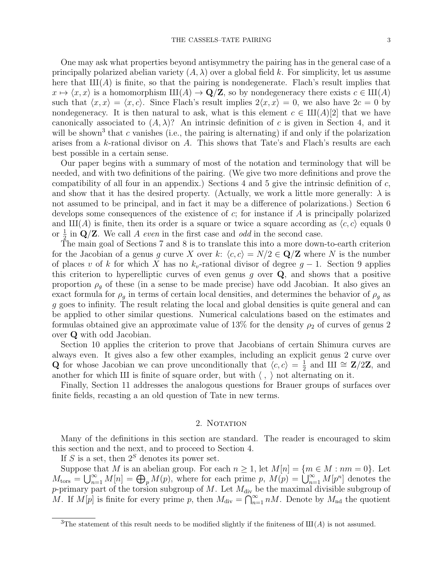One may ask what properties beyond antisymmetry the pairing has in the general case of a principally polarized abelian variety  $(A, \lambda)$  over a global field k. For simplicity, let us assume here that  $III(A)$  is finite, so that the pairing is nondegenerate. Flach's result implies that  $x \mapsto \langle x, x \rangle$  is a homomorphism  $\text{III}(A) \to \mathbf{Q}/\mathbf{Z}$ , so by nondegeneracy there exists  $c \in \text{III}(A)$ such that  $\langle x, x \rangle = \langle x, c \rangle$ . Since Flach's result implies  $2\langle x, x \rangle = 0$ , we also have  $2c = 0$  by nondegeneracy. It is then natural to ask, what is this element  $c \in \text{III}(A)[2]$  that we have canonically associated to  $(A, \lambda)$ ? An intrinsic definition of c is given in Section 4, and it will be shown<sup>3</sup> that c vanishes (i.e., the pairing is alternating) if and only if the polarization arises from a k-rational divisor on A. This shows that Tate's and Flach's results are each best possible in a certain sense.

Our paper begins with a summary of most of the notation and terminology that will be needed, and with two definitions of the pairing. (We give two more definitions and prove the compatibility of all four in an appendix.) Sections 4 and 5 give the intrinsic definition of  $c$ , and show that it has the desired property. (Actually, we work a little more generally:  $\lambda$  is not assumed to be principal, and in fact it may be a difference of polarizations.) Section 6 develops some consequences of the existence of  $c$ ; for instance if  $A$  is principally polarized and  $III(A)$  is finite, then its order is a square or twice a square according as  $\langle c, c \rangle$  equals 0 or  $\frac{1}{2}$  in Q/Z. We call A even in the first case and odd in the second case.

The main goal of Sections 7 and 8 is to translate this into a more down-to-earth criterion for the Jacobian of a genus g curve X over k:  $\langle c, c \rangle = N/2 \in \mathbb{Q}/\mathbb{Z}$  where N is the number of places v of k for which X has no  $k_v$ -rational divisor of degree  $g-1$ . Section 9 applies this criterion to hyperelliptic curves of even genus  $g$  over  $Q$ , and shows that a positive proportion  $\rho_g$  of these (in a sense to be made precise) have odd Jacobian. It also gives an exact formula for  $\rho_q$  in terms of certain local densities, and determines the behavior of  $\rho_q$  as g goes to infinity. The result relating the local and global densities is quite general and can be applied to other similar questions. Numerical calculations based on the estimates and formulas obtained give an approximate value of 13% for the density  $\rho_2$  of curves of genus 2 over Q with odd Jacobian.

Section 10 applies the criterion to prove that Jacobians of certain Shimura curves are always even. It gives also a few other examples, including an explicit genus 2 curve over **Q** for whose Jacobian we can prove unconditionally that  $\langle c, c \rangle = \frac{1}{2}$  $\frac{1}{2}$  and  $\overline{\text{III}} \cong \textbf{Z}/2\textbf{Z}$ , and another for which III is finite of square order, but with  $\langle , \rangle$  not alternating on it.

Finally, Section 11 addresses the analogous questions for Brauer groups of surfaces over finite fields, recasting a an old question of Tate in new terms.

# 2. NOTATION

Many of the definitions in this section are standard. The reader is encouraged to skim this section and the next, and to proceed to Section 4.

If S is a set, then  $2<sup>S</sup>$  denotes its power set.

Suppose that M is an abelian group. For each  $n \geq 1$ , let  $M[n] = \{m \in M : nm = 0\}$ . Let  $M_{\text{tors}} = \bigcup_{n=1}^{\infty} M[n] = \bigoplus_{p} M(p)$ , where for each prime p,  $M(p) = \bigcup_{n=1}^{\infty} M[p^n]$  denotes the p-primary part of the torsion subgroup of  $M$ . Let  $M_{\text{div}}$  be the maximal divisible subgroup of M. If  $M[p]$  is finite for every prime p, then  $M_{\text{div}} = \bigcap_{n=1}^{\infty} nM$ . Denote by  $M_{\text{nd}}$  the quotient

<sup>&</sup>lt;sup>3</sup>The statement of this result needs to be modified slightly if the finiteness of  $III(A)$  is not assumed.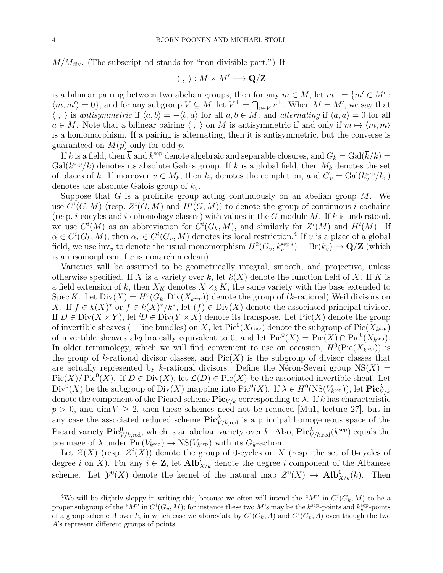$M/M_{\rm div}$ . (The subscript nd stands for "non-divisible part.") If

$$
\langle , \rangle : M \times M' \longrightarrow \mathbf{Q}/\mathbf{Z}
$$

is a bilinear pairing between two abelian groups, then for any  $m \in M$ , let  $m^{\perp} = \{m' \in M':$  $\langle m, m' \rangle = 0$ , and for any subgroup  $V \subseteq M$ , let  $V^{\perp} = \bigcap_{v \in V} v^{\perp}$ . When  $M = M'$ , we say that  $\langle , \rangle$  is antisymmetric if  $\langle a, b \rangle = -\langle b, a \rangle$  for all  $a, b \in M$ , and alternating if  $\langle a, a \rangle = 0$  for all  $a \in M$ . Note that a bilinear pairing  $\langle , \rangle$  on M is antisymmetric if and only if  $m \mapsto \langle m, m \rangle$ is a homomorphism. If a pairing is alternating, then it is antisymmetric, but the converse is guaranteed on  $M(p)$  only for odd p.

If k is a field, then  $\bar{k}$  and  $k^{\text{sep}}$  denote algebraic and separable closures, and  $G_k = \text{Gal}(\bar{k}/k) =$  $Gal(k^{\text{sep}}/k)$  denotes its absolute Galois group. If k is a global field, then  $M_k$  denotes the set of places of k. If moreover  $v \in M_k$ , then  $k_v$  denotes the completion, and  $G_v = \text{Gal}(k_v^{\text{sep}}/k_v)$ denotes the absolute Galois group of  $k_v$ .

Suppose that  $G$  is a profinite group acting continuously on an abelian group  $M$ . We use  $C^i(G, M)$  (resp.  $Z^i(G, M)$  and  $H^i(G, M)$ ) to denote the group of continuous *i*-cochains (resp. *i*-cocyles and *i*-cohomology classes) with values in the G-module M. If k is understood, we use  $C^i(M)$  as an abbreviation for  $C^i(G_k, M)$ , and similarly for  $Z^i(M)$  and  $H^i(M)$ . If  $\alpha \in C^{i}(G_k, M)$ , then  $\alpha_v \in C^{i}(G_v, M)$  denotes its local restriction.<sup>4</sup> If v is a place of a global field, we use inv<sub>v</sub> to denote the usual monomorphism  $H^2(G_v, k_v^{\text{sep}*}) = Br(k_v) \to \mathbf{Q}/\mathbf{Z}$  (which is an isomorphism if  $v$  is nonarchimedean).

Varieties will be assumed to be geometrically integral, smooth, and projective, unless otherwise specified. If X is a variety over k, let  $k(X)$  denote the function field of X. If K is a field extension of k, then  $X_K$  denotes  $X \times_k K$ , the same variety with the base extended to Spec K. Let  $Div(X) = H^0(G_k, Div(X_{k^{\text{sep}}}))$  denote the group of (k-rational) Weil divisors on X. If  $f \in k(X)^*$  or  $f \in k(X)^*/k^*$ , let  $(f) \in Div(X)$  denote the associated principal divisor. If  $D \in Div(X \times Y)$ , let  $^tD \in Div(Y \times X)$  denote its transpose. Let  $Pic(X)$  denote the group of invertible sheaves (= line bundles) on X, let  $Pic^0(X_{k^{\text{sep}}})$  denote the subgroup of  $Pic(X_{k^{\text{sep}}})$ of invertible sheaves algebraically equivalent to 0, and let  $Pic^0(X) = Pic(X) \cap Pic^0(X_{k^{sep}})$ . In older terminology, which we will find convenient to use on occasion,  $H^0(\text{Pic}(X_{k^{\text{sep}}}))$  is the group of k-rational divisor classes, and  $Pic(X)$  is the subgroup of divisor classes that are actually represented by k-rational divisors. Define the Néron-Severi group  $NS(X)$  =  $Pic(X)/ Pic^{0}(X)$ . If  $D \in Div(X)$ , let  $\mathcal{L}(D) \in Pic(X)$  be the associated invertible sheaf. Let  $Div^0(X)$  be the subgroup of  $Div(X)$  mapping into  $Pic^0(X)$ . If  $\lambda \in H^0(NS(V_{k^{\text{sep}}}))$ , let  $Pic^{\lambda}_{V/k}$ denote the component of the Picard scheme  $\text{Pic}_{V/k}$  corresponding to  $\lambda$ . If k has characteristic  $p > 0$ , and dim  $V \geq 2$ , then these schemes need not be reduced [Mu1, lecture 27], but in any case the associated reduced scheme  $Pic^{\lambda}_{V/k, \text{red}}$  is a principal homogeneous space of the Picard variety  $\text{Pic}^0_{V/k, \text{red}}$ , which is an abelian variety over k. Also,  $\text{Pic}^{\lambda}_{V/k, \text{red}}(k^{\text{sep}})$  equals the preimage of  $\lambda$  under  $Pic(V_{k^{\text{sep}}}) \to NS(V_{k^{\text{sep}}})$  with its  $G_k$ -action.

Let  $\mathcal{Z}(X)$  (resp.  $\mathcal{Z}^{i}(X)$ ) denote the group of 0-cycles on X (resp. the set of 0-cycles of degree *i* on X). For any  $i \in \mathbb{Z}$ , let  $\text{Alb}_{X/k}$  denote the degree *i* component of the Albanese scheme. Let  $\mathcal{Y}^0(X)$  denote the kernel of the natural map  $\mathcal{Z}^0(X) \to \textbf{Alb}_{X/k}^0(k)$ . Then

<sup>&</sup>lt;sup>4</sup>We will be slightly sloppy in writing this, because we often will intend the " $M$ " in  $C^{i}(G_k, M)$  to be a proper subgroup of the " $M$ " in  $C^i(G_v, M)$ ; for instance these two M's may be the  $k^{\text{sep}}$ -points and  $k_v^{\text{sep}}$ -points of a group scheme A over k, in which case we abbreviate by  $C^i(G_k, A)$  and  $C^i(G_v, A)$  even though the two A's represent different groups of points.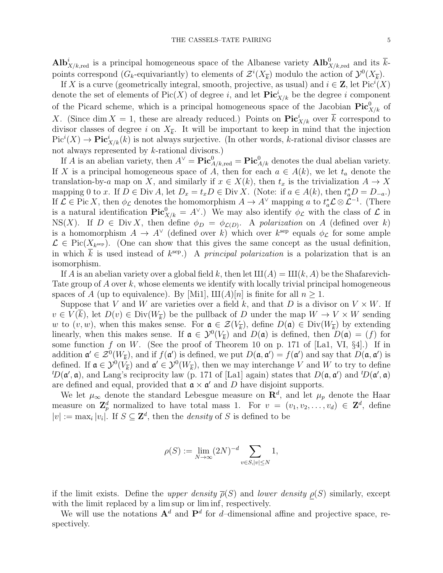$\text{Alb}_{X/k,\text{red}}^i$  is a principal homogeneous space of the Albanese variety  $\text{Alb}_{X/k,\text{red}}^0$  and its  $\overline{k}$ points correspond ( $G_k$ -equivariantly) to elements of  $\mathcal{Z}^i(X_{\overline{k}})$  modulo the action of  $\mathcal{Y}^0(X_{\overline{k}})$ .

If X is a curve (geometrically integral, smooth, projective, as usual) and  $i \in \mathbf{Z}$ , let  $Pic^{i}(X)$ denote the set of elements of  $Pic(X)$  of degree i, and let  $Pic<sup>i</sup><sub>X/k</sub>$  be the degree i component of the Picard scheme, which is a principal homogeneous space of the Jacobian  $Pic^0_{X/k}$  of X. (Since dim  $X = 1$ , these are already reduced.) Points on  $\text{Pic}^i_{X/k}$  over  $\overline{k}$  correspond to divisor classes of degree i on  $X_{\overline{k}}$ . It will be important to keep in mind that the injection  $Pic<sup>i</sup>(X) \to Pic<sup>i</sup><sub>X/k</sub>(k)$  is not always surjective. (In other words, k-rational divisor classes are not always represented by k-rational divisors.)

If A is an abelian variety, then  $A^{\vee} = Pic_{A/k, red}^{0} = Pic_{A/k}^{0}$  denotes the dual abelian variety. If X is a principal homogeneous space of A, then for each  $a \in A(k)$ , we let  $t_a$  denote the translation-by-a map on X, and similarly if  $x \in X(k)$ , then  $t_x$  is the trivialization  $A \to X$ mapping 0 to x. If  $D \in \text{Div } A$ , let  $D_x = t_x D \in \text{Div } X$ . (Note: if  $a \in A(k)$ , then  $t_a^* D = D_{-a}$ .) If  $\mathcal{L} \in \text{Pic } X$ , then  $\phi_{\mathcal{L}}$  denotes the homomorphism  $A \to A^{\vee}$  mapping a to  $t_a^* \mathcal{L} \otimes \mathcal{L}^{-1}$ . (There is a natural identification  $\text{Pic}^0_{X/k} = A^{\vee}$ .) We may also identify  $\phi_{\mathcal{L}}$  with the class of  $\mathcal{L}$  in  $NS(X)$ . If  $D \in Div X$ , then define  $\phi_D = \phi_{\mathcal{L}(D)}$ . A polarization on A (defined over k) is a homomorphism  $A \to A^{\vee}$  (defined over k) which over  $k^{\text{sep}}$  equals  $\phi_{\mathcal{L}}$  for some ample  $\mathcal{L} \in Pic(X_{k^{\text{sep}}})$ . (One can show that this gives the same concept as the usual definition, in which  $\bar{k}$  is used instead of  $k^{\text{sep}}$ .) A principal polarization is a polarization that is an isomorphism.

If A is an abelian variety over a global field k, then let  $III(A) = III(k, A)$  be the Shafarevich-Tate group of A over k, whose elements we identify with locally trivial principal homogeneous spaces of A (up to equivalence). By [Mi1],  $\text{III}(A)[n]$  is finite for all  $n \geq 1$ .

Suppose that V and W are varieties over a field k, and that D is a divisor on  $V \times W$ . If  $v \in V(k)$ , let  $D(v) \in Div(W_{\overline{k}})$  be the pullback of D under the map  $W \to V \times W$  sending w to  $(v, w)$ , when this makes sense. For  $\mathfrak{a} \in \mathcal{Z}(V_{\overline{k}})$ , define  $D(\mathfrak{a}) \in \text{Div}(W_{\overline{k}})$  by extending linearly, when this makes sense. If  $\mathfrak{a} \in \mathcal{Y}^0(V_{\overline{k}})$  and  $D(\mathfrak{a})$  is defined, then  $D(\mathfrak{a}) = (f)$  for some function f on W. (See the proof of Theorem 10 on p. 171 of  $[La1, VI, §4]$ .) If in addition  $\mathfrak{a}' \in \mathcal{Z}^0(W_{\overline{k}})$ , and if  $f(\mathfrak{a}')$  is defined, we put  $D(\mathfrak{a}, \mathfrak{a}') = f(\mathfrak{a}')$  and say that  $D(\mathfrak{a}, \mathfrak{a}')$  is defined. If  $\mathfrak{a} \in \mathcal{Y}^0(V_{\overline{k}})$  and  $\mathfrak{a}' \in \mathcal{Y}^0(W_{\overline{k}})$ , then we may interchange V and W to try to define  ${}^tD(\mathfrak{a}',\mathfrak{a})$ , and Lang's reciprocity law (p. 171 of [La1] again) states that  $D(\mathfrak{a},\mathfrak{a}')$  and  ${}^tD(\mathfrak{a}',\mathfrak{a})$ are defined and equal, provided that  $\mathfrak{a} \times \mathfrak{a}'$  and D have disjoint supports.

We let  $\mu_{\infty}$  denote the standard Lebesgue measure on  $\mathbb{R}^{d}$ , and let  $\mu_{p}$  denote the Haar measure on  $\mathbf{Z}_p^d$  normalized to have total mass 1. For  $v = (v_1, v_2, \ldots, v_d) \in \mathbf{Z}^d$ , define  $|v| := \max_i |v_i|$ . If  $S \subseteq \mathbb{Z}^d$ , then the *density* of S is defined to be

$$
\rho(S) := \lim_{N \to \infty} (2N)^{-d} \sum_{v \in S, |v| \le N} 1,
$$

if the limit exists. Define the upper density  $\overline{\rho}(S)$  and lower density  $\rho(S)$  similarly, except with the limit replaced by a lim sup or liminf, respectively.

We will use the notations  $A^d$  and  $P^d$  for d-dimensional affine and projective space, respectively.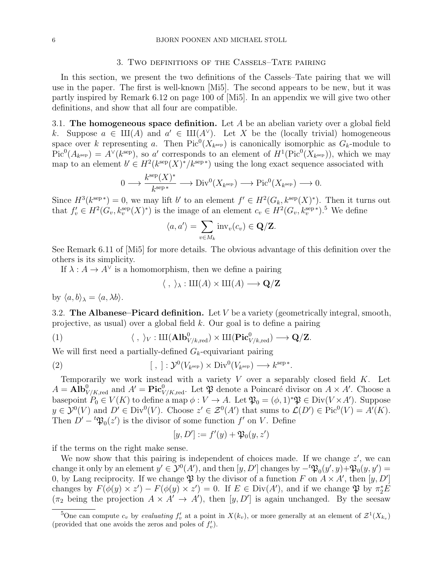#### 3. Two definitions of the Cassels–Tate pairing

In this section, we present the two definitions of the Cassels–Tate pairing that we will use in the paper. The first is well-known [Mi5]. The second appears to be new, but it was partly inspired by Remark 6.12 on page 100 of [Mi5]. In an appendix we will give two other definitions, and show that all four are compatible.

3.1. The homogeneous space definition. Let  $A$  be an abelian variety over a global field k. Suppose  $a \in \mathrm{III}(A)$  and  $a' \in \mathrm{III}(A^{\vee})$ . Let X be the (locally trivial) homogeneous space over k representing a. Then  $Pic^0(X_{k^{\text{sep}}})$  is canonically isomorphic as  $G_k$ -module to  $Pic^{0}(A_{k^{\text{sep}}}) = A^{\vee}(k^{\text{sep}})$ , so a' corresponds to an element of  $H^{1}(Pic^{0}(X_{k^{\text{sep}}}))$ , which we may map to an element  $b' \in H^2(k^{\text{sep}}(X))^*/k^{\text{sep}*})$  using the long exact sequence associated with

$$
0 \longrightarrow \frac{k^{\text{sep}}(X)^*}{k^{\text{sep}}} \longrightarrow \text{Div}^0(X_{k^{\text{sep}}}) \longrightarrow \text{Pic}^0(X_{k^{\text{sep}}}) \longrightarrow 0.
$$

Since  $H^3(k^{\text{sep}*}) = 0$ , we may lift b' to an element  $f' \in H^2(G_k, k^{\text{sep}}(X)^*)$ . Then it turns out that  $f'_{v} \in H^{2}(G_{v}, k_{v}^{\text{sep}}(X)^{\ast})$  is the image of an element  $c_{v} \in H^{2}(G_{v}, k_{v}^{\text{sep}\ast})$ .<sup>5</sup> We define

$$
\langle a, a' \rangle = \sum_{v \in M_k} \text{inv}_v(c_v) \in \mathbf{Q}/\mathbf{Z}.
$$

See Remark 6.11 of [Mi5] for more details. The obvious advantage of this definition over the others is its simplicity.

If  $\lambda: A \to A^{\vee}$  is a homomorphism, then we define a pairing

$$
\langle \; , \; \rangle_{\lambda} : \mathop{\mathrm{III}}\nolimits(A) \times \mathop{\mathrm{III}}\nolimits(A) \longrightarrow \mathbf{Q}/\mathbf{Z}
$$

by  $\langle a, b \rangle_{\lambda} = \langle a, \lambda b \rangle$ .

3.2. The Albanese–Picard definition. Let  $V$  be a variety (geometrically integral, smooth, projective, as usual) over a global field k. Our goal is to define a pairing

(1)  $\langle , \rangle_V : \amalg({\bf Alb}^0_{V/k, \rm red}) \times \amalg({\bf Pic}^0_{V/k, \rm red}) \longrightarrow {\bf Q}/{\bf Z}.$ 

We will first need a partially-defined  $G_k$ -equivariant pairing

(2) 
$$
[\ ,\ ]: \mathcal{Y}^0(V_{k^{\text{sep}}}) \times \text{Div}^0(V_{k^{\text{sep}}}) \longrightarrow k^{\text{sep}}^*.
$$

Temporarily we work instead with a variety  $V$  over a separably closed field  $K$ . Let  $A = \text{Alb}_{V/K, \text{red}}^0$  and  $A' = \text{Pic}_{V/K, \text{red}}^0$ . Let  $\mathfrak P$  denote a Poincaré divisor on  $A \times A'$ . Choose a basepoint  $P_0 \in V(K)$  to define a map  $\phi: V \to A$ . Let  $\mathfrak{P}_0 = (\phi, 1)^* \mathfrak{P} \in \text{Div}(V \times A')$ . Suppose  $y \in \mathcal{Y}^0(V)$  and  $D' \in \text{Div}^0(V)$ . Choose  $z' \in \mathcal{Z}^0(A')$  that sums to  $\mathcal{L}(D') \in \text{Pic}^0(V) = A'(K)$ . Then  $D' - {}^t \mathfrak{P}_0(z')$  is the divisor of some function f' on V. Define

$$
[y, D'] := f'(y) + \mathfrak{P}_0(y, z')
$$

if the terms on the right make sense.

We now show that this pairing is independent of choices made. If we change  $z'$ , we can change it only by an element  $y' \in \mathcal{Y}^0(A')$ , and then  $[y, D']$  changes by  $-t\mathfrak{P}_0(y', y) + \mathfrak{P}_0(y, y') =$ 0, by Lang reciprocity. If we change  $\mathfrak P$  by the divisor of a function F on  $A \times A'$ , then  $[y, D']$ changes by  $F(\phi(y) \times z') - F(\phi(y) \times z') = 0$ . If  $E \in Div(A')$ , and if we change  $\mathfrak{P}$  by  $\pi_2^* E$  $(\pi_2 \text{ being the projection } A \times A' \rightarrow A')$ , then  $[y, D']$  is again unchanged. By the seesaw

<sup>&</sup>lt;sup>5</sup>One can compute  $c_v$  by *evaluating*  $f'_v$  at a point in  $X(k_v)$ , or more generally at an element of  $\mathcal{Z}^1(X_{k_v})$ (provided that one avoids the zeros and poles of  $f'_v$ ).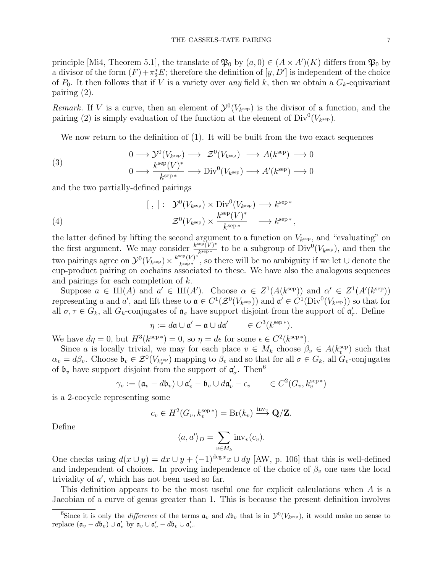principle [Mi4, Theorem 5.1], the translate of  $\mathfrak{P}_0$  by  $(a, 0) \in (A \times A')(K)$  differs from  $\mathfrak{P}_0$  by a divisor of the form  $(F) + \pi_2^* E$ ; therefore the definition of  $[y, D']$  is independent of the choice of  $P_0$ . It then follows that if V is a variety over any field k, then we obtain a  $G_k$ -equivariant pairing (2).

Remark. If V is a curve, then an element of  $\mathcal{Y}^0(V_{k^{\text{sep}}})$  is the divisor of a function, and the pairing (2) is simply evaluation of the function at the element of  $Div^0(V_{k^{sep}})$ .

We now return to the definition of (1). It will be built from the two exact sequences

(3) 
$$
0 \longrightarrow \mathcal{Y}^0(V_{k^{\text{sep}}}) \longrightarrow \mathcal{Z}^0(V_{k^{\text{sep}}}) \longrightarrow A(k^{\text{sep}}) \longrightarrow 0
$$

$$
0 \longrightarrow \frac{k^{\text{sep}}(V)^*}{k^{\text{sep}*}} \longrightarrow \text{Div}^0(V_{k^{\text{sep}}}) \longrightarrow A'(k^{\text{sep}}) \longrightarrow 0
$$

and the two partially-defined pairings

(4) 
$$
[\ , ] : \mathcal{Y}^0(V_{k^{\text{sep}}}) \times \text{Div}^0(V_{k^{\text{sep}}}) \longrightarrow k^{\text{sep}*}
$$

$$
\mathcal{Z}^0(V_{k^{\text{sep}}}) \times \frac{k^{\text{sep}}(V)^*}{k^{\text{sep}*}} \longrightarrow k^{\text{sep}*},
$$

the latter defined by lifting the second argument to a function on  $V_{k<sup>sep</sup>}$ , and "evaluating" on the first argument. We may consider  $\frac{k^{\text{sep}}(V)^{*}}{k^{\text{sep}}*}$  $\frac{\text{eP}(V)^*}{k^{\text{sep}*}}$  to be a subgroup of  $\text{Div}^0(V_{k^{\text{sep}}})$ , and then the two pairings agree on  $\mathcal{Y}^0(V_{k^{\text{sep}}}) \times \frac{k^{\text{sep}}(V)^*}{k^{\text{sep}*}}$  $\frac{\sum_{k} P(V)^*}{k^{\text{sep}*}}$ , so there will be no ambiguity if we let  $\cup$  denote the cup-product pairing on cochains associated to these. We have also the analogous sequences and pairings for each completion of k.

Suppose  $a \in \mathrm{III}(A)$  and  $a' \in \mathrm{III}(A')$ . Choose  $\alpha \in Z^1(A(k^{\text{sep}}))$  and  $\alpha' \in Z^1(A'(k^{\text{sep}}))$ representing a and a', and lift these to  $\mathfrak{a} \in C^1(\mathcal{Z}^0(V_{k^{\text{sep}}}))$  and  $\mathfrak{a}' \in C^1(\text{Div}^0(V_{k^{\text{sep}}}))$  so that for all  $\sigma, \tau \in G_k$ , all  $G_k$ -conjugates of  $\mathfrak{a}_{\sigma}$  have support disjoint from the support of  $\mathfrak{a}'_{\tau}$ . Define

$$
\eta := d\mathfrak{a} \cup \mathfrak{a}' - \mathfrak{a} \cup d\mathfrak{a}' \qquad \in C^3(k^{\text{sep}*}).
$$

We have  $d\eta = 0$ , but  $H^3(k^{\text{sep }*}) = 0$ , so  $\eta = d\epsilon$  for some  $\epsilon \in C^2(k^{\text{sep }*})$ .

Since a is locally trivial, we may for each place  $v \in M_k$  choose  $\beta_v \in A(k_v^{\text{sep}})$  such that  $\alpha_v = d\beta_v$ . Choose  $\mathfrak{b}_v \in \mathcal{Z}^0(V_{k_v^{\text{sep}}})$  mapping to  $\beta_v$  and so that for all  $\sigma \in G_k$ , all  $G_v$ -conjugates of  $\mathfrak{b}_v$  have support disjoint from the support of  $\mathfrak{a}'_{\sigma}$ . Then<sup>6</sup>

$$
\gamma_v := (\mathfrak{a}_v - d\mathfrak{b}_v) \cup \mathfrak{a}'_v - \mathfrak{b}_v \cup d\mathfrak{a}'_v - \epsilon_v \qquad \in C^2(G_v, k_v^{\text{sep} *})
$$

is a 2-cocycle representing some

$$
c_v \in H^2(G_v, k_v^{\text{sep}*}) = \text{Br}(k_v) \xrightarrow{\text{inv}_v} \mathbf{Q}/\mathbf{Z}.
$$

Define

$$
\langle a, a' \rangle_D = \sum_{v \in M_k} \text{inv}_v(c_v).
$$

One checks using  $d(x \cup y) = dx \cup y + (-1)^{\deg x} x \cup dy$  [AW, p. 106] that this is well-defined and independent of choices. In proving independence of the choice of  $\beta_v$  one uses the local triviality of  $a'$ , which has not been used so far.

This definition appears to be the most useful one for explicit calculations when A is a Jacobian of a curve of genus greater than 1. This is because the present definition involves

<sup>&</sup>lt;sup>6</sup>Since it is only the *difference* of the terms  $\mathfrak{a}_v$  and  $d\mathfrak{b}_v$  that is in  $\mathcal{Y}^0(V_{k^{\text{sep}}})$ , it would make no sense to replace  $(\mathfrak{a}_v - d\mathfrak{b}_v) \cup \mathfrak{a}'_v$  by  $\mathfrak{a}_v \cup \mathfrak{a}'_v - d\mathfrak{b}_v \cup \mathfrak{a}'_v$ .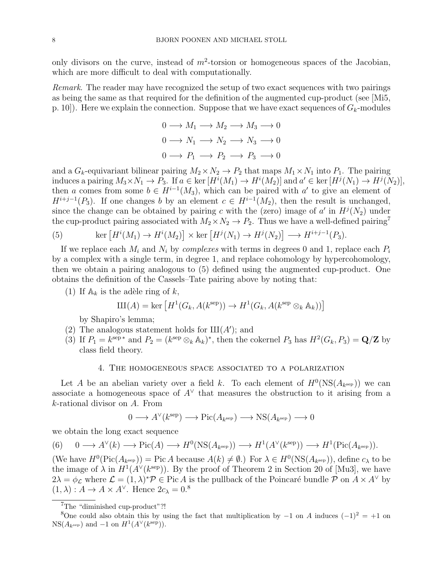only divisors on the curve, instead of  $m^2$ -torsion or homogeneous spaces of the Jacobian, which are more difficult to deal with computationally.

Remark. The reader may have recognized the setup of two exact sequences with two pairings as being the same as that required for the definition of the augmented cup-product (see [Mi5, p. 10]). Here we explain the connection. Suppose that we have exact sequences of  $G_k$ -modules

$$
0 \longrightarrow M_1 \longrightarrow M_2 \longrightarrow M_3 \longrightarrow 0
$$
  

$$
0 \longrightarrow N_1 \longrightarrow N_2 \longrightarrow N_3 \longrightarrow 0
$$
  

$$
0 \longrightarrow P_1 \longrightarrow P_2 \longrightarrow P_3 \longrightarrow 0
$$

and a  $G_k$ -equivariant bilinear pairing  $M_2 \times N_2 \to P_2$  that maps  $M_1 \times N_1$  into  $P_1$ . The pairing induces a pairing  $M_3 \times N_1 \to P_3$ . If  $a \in \text{ker}[H^i(M_1) \to H^i(M_2)]$  and  $a' \in \text{ker}[H^j(N_1) \to H^j(N_2)],$ then a comes from some  $b \in H^{i-1}(M_3)$ , which can be paired with a' to give an element of  $H^{i+j-1}(P_3)$ . If one changes b by an element  $c \in H^{i-1}(M_2)$ , then the result is unchanged, since the change can be obtained by pairing c with the (zero) image of  $a'$  in  $H^j(N_2)$  under the cup-product pairing associated with  $M_2 \times N_2 \rightarrow P_2$ . Thus we have a well-defined pairing<sup>7</sup>

(5) 
$$
\ker \left[ H^i(M_1) \to H^i(M_2) \right] \times \ker \left[ H^j(N_1) \to H^j(N_2) \right] \longrightarrow H^{i+j-1}(P_3).
$$

If we replace each  $M_i$  and  $N_i$  by *complexes* with terms in degrees 0 and 1, replace each  $P_i$ by a complex with a single term, in degree 1, and replace cohomology by hypercohomology, then we obtain a pairing analogous to (5) defined using the augmented cup-product. One obtains the definition of the Cassels–Tate pairing above by noting that:

(1) If  $\mathbb{A}_k$  is the adèle ring of k,

$$
III(A) = \ker \left[ H^1(G_k, A(k^{\text{sep}})) \to H^1(G_k, A(k^{\text{sep}} \otimes_k A_k)) \right]
$$

by Shapiro's lemma;

- (2) The analogous statement holds for  $III(A');$  and
- (3) If  $P_1 = k^{\text{sep}}$  and  $P_2 = (k^{\text{sep}} \otimes_k \mathbb{A}_k)^*$ , then the cokernel  $P_3$  has  $H^2(G_k, P_3) = \mathbf{Q}/\mathbf{Z}$  by class field theory.

### 4. The homogeneous space associated to a polarization

Let A be an abelian variety over a field k. To each element of  $H^0(NS(A_{k^{sep}}))$  we can associate a homogeneous space of  $A^{\vee}$  that measures the obstruction to it arising from a k-rational divisor on A. From

$$
0 \longrightarrow A^{\vee}(k^{\text{sep}}) \longrightarrow Pic(A_{k^{\text{sep}}}) \longrightarrow NS(A_{k^{\text{sep}}}) \longrightarrow 0
$$

we obtain the long exact sequence

(6) 
$$
0 \longrightarrow A^{\vee}(k) \longrightarrow Pic(A) \longrightarrow H^{0}(NS(A_{k^{\text{sep}}})) \longrightarrow H^{1}(A^{\vee}(k^{\text{sep}})) \longrightarrow H^{1}(Pic(A_{k^{\text{sep}}})).
$$

(We have  $H^0(\text{Pic}(A_{k^{\text{sep}}})) = \text{Pic }A$  because  $A(k) \neq \emptyset$ .) For  $\lambda \in H^0(\text{NS}(A_{k^{\text{sep}}}))$ , define  $c_{\lambda}$  to be the image of  $\lambda$  in  $H^1(A^{\vee}(k^{\text{sep}}))$ . By the proof of Theorem 2 in Section 20 of [Mu3], we have  $2\lambda = \phi_{\mathcal{L}}$  where  $\mathcal{L} = (1, \lambda)^* \mathcal{P} \in \text{Pic } A$  is the pullback of the Poincaré bundle  $\mathcal{P}$  on  $A \times A^{\vee}$  by  $(1, \lambda) : A \to A \times A^{\vee}$ . Hence  $2c_{\lambda} = 0$ .<sup>8</sup>

<sup>7</sup>The "diminished cup-product"?!

<sup>&</sup>lt;sup>8</sup>One could also obtain this by using the fact that multiplication by  $-1$  on A induces  $(-1)^2 = +1$  on  $NS(A_{k^{sep}})$  and  $-1$  on  $H^1(A^{\vee}(k^{sep}))$ .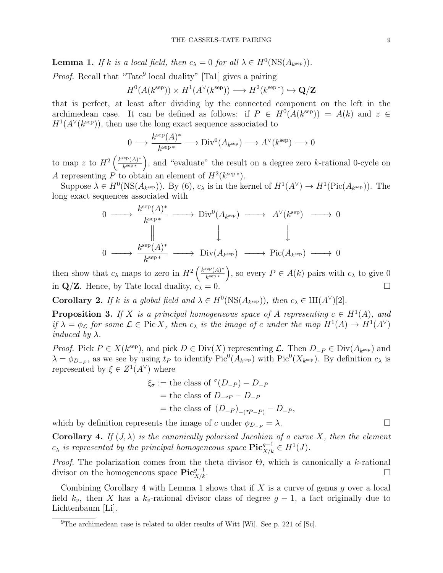**Lemma 1.** If k is a local field, then  $c_{\lambda} = 0$  for all  $\lambda \in H^0(\text{NS}(A_{k^{\text{sep}}}))$ .

*Proof.* Recall that "Tate<sup>9</sup> local duality" [Ta1] gives a pairing

$$
H^0(A(k^{\text{sep}})) \times H^1(A^{\vee}(k^{\text{sep}})) \longrightarrow H^2(k^{\text{sep}*}) \hookrightarrow \mathbf{Q}/\mathbf{Z}
$$

that is perfect, at least after dividing by the connected component on the left in the archimedean case. It can be defined as follows: if  $P \in H^0(A(k^{\text{sep}})) = A(k)$  and  $z \in$  $H^1(A^{\vee}(k^{\text{sep}}))$ , then use the long exact sequence associated to

$$
0 \longrightarrow \frac{k^{\text{sep}}(A)^*}{k^{\text{sep}}} \longrightarrow \text{Div}^0(A_{k^{\text{sep}}}) \longrightarrow A^{\vee}(k^{\text{sep}}) \longrightarrow 0
$$

to map z to  $H^2\left(\frac{k^{\text{sep}}(A)^*}{k^{\text{sep}}} \right)$  $\frac{\text{sep}(A)^*}{k^{\text{sep}}}\bigg$ , and "evaluate" the result on a degree zero k-rational 0-cycle on A representing P to obtain an element of  $H^2(k^{\text{sep}*})$ .

Suppose  $\lambda \in H^0(\mathrm{NS}(A_{k^{\text{sep}}}))$ . By (6),  $c_{\lambda}$  is in the kernel of  $H^1(A^{\vee}) \to H^1(\mathrm{Pic}(A_{k^{\text{sep}}}))$ . The long exact sequences associated with

$$
0 \longrightarrow \frac{k^{\text{sep}}(A)^{*}}{k^{\text{sep}} \longrightarrow Div^{0}(A_{k^{\text{sep}}}) \longrightarrow A^{\vee}(k^{\text{sep}}) \longrightarrow 0
$$
  
\n
$$
\parallel \qquad \qquad \downarrow \qquad \qquad \downarrow
$$
  
\n
$$
0 \longrightarrow \frac{k^{\text{sep}}(A)^{*}}{k^{\text{sep}} \longrightarrow Div(A_{k^{\text{sep}}}) \longrightarrow Pic(A_{k^{\text{sep}}}) \longrightarrow 0
$$

then show that  $c_{\lambda}$  maps to zero in  $H^2\left(\frac{k^{\text{sep}}(A)^*}{k^{\text{sep}}}\right)$  $\frac{\text{sep}(A)^*}{k^{\text{sep}*}}$ , so every  $P \in A(k)$  pairs with  $c_{\lambda}$  to give 0 in  $\mathbf{Q}/\mathbf{Z}$ . Hence, by Tate local duality,  $c_{\lambda} = 0$ .

**Corollary 2.** If k is a global field and  $\lambda \in H^0(\text{NS}(A_{k^{\text{sep}}}))$ , then  $c_{\lambda} \in \text{III}(A^{\vee})[2]$ .

**Proposition 3.** If X is a principal homogeneous space of A representing  $c \in H^1(A)$ , and if  $\lambda = \phi_{\mathcal{L}}$  for some  $\mathcal{L} \in \text{Pic } X$ , then  $c_{\lambda}$  is the image of c under the map  $H^1(A) \to H^1(A^{\vee})$ *induced by*  $\lambda$ .

*Proof.* Pick  $P \in X(k^{\text{sep}})$ , and pick  $D \in Div(X)$  representing  $\mathcal{L}$ . Then  $D_{-P} \in Div(A_{k^{\text{sep}}})$  and  $\lambda = \phi_{D_P}$ , as we see by using  $t_P$  to identify  $Pic^0(A_{k^{\text{sep}}})$  with  $Pic^0(X_{k^{\text{sep}}})$ . By definition  $c_{\lambda}$  is represented by  $\xi \in Z^1(A^{\vee})$  where

$$
\xi_{\sigma} := \text{the class of }^{\sigma}(D_{-P}) - D_{-P}
$$
  
= the class of  $D_{-\sigma P} - D_{-P}$   
= the class of  $(D_{-P})_{-(\sigma P - P)} - D_{-P}$ ,

which by definition represents the image of c under  $\phi_{D-p} = \lambda$ .

**Corollary 4.** If  $(J, \lambda)$  is the canonically polarized Jacobian of a curve X, then the element  $c_{\lambda}$  is represented by the principal homogeneous space  $\text{Pic}^{g-1}_{X/k} \in H^1(J)$ .

*Proof.* The polarization comes from the theta divisor  $\Theta$ , which is canonically a k-rational divisor on the homogeneous space  $\operatorname{Pic}^{g-1}_{X/k}$ .  $X/k$ .

Combining Corollary 4 with Lemma 1 shows that if  $X$  is a curve of genus q over a local field  $k_v$ , then X has a  $k_v$ -rational divisor class of degree  $g-1$ , a fact originally due to Lichtenbaum [Li].

<sup>&</sup>lt;sup>9</sup>The archimedean case is related to older results of Witt [Wi]. See p. 221 of [Sc].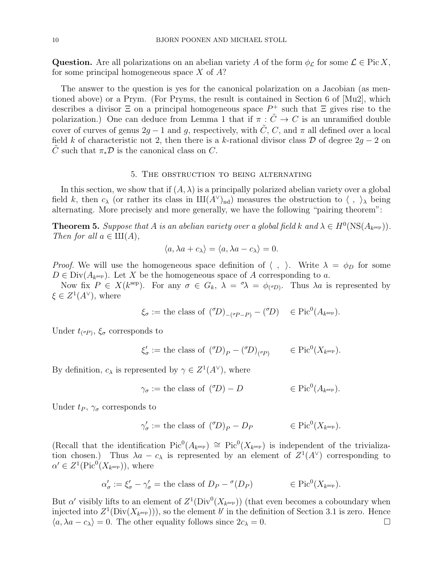Question. Are all polarizations on an abelian variety A of the form  $\phi_{\mathcal{L}}$  for some  $\mathcal{L} \in \text{Pic } X$ , for some principal homogeneous space  $X$  of  $A$ ?

The answer to the question is yes for the canonical polarization on a Jacobian (as mentioned above) or a Prym. (For Pryms, the result is contained in Section 6 of [Mu2], which describes a divisor  $\Xi$  on a principal homogeneous space  $P^+$  such that  $\Xi$  gives rise to the polarization.) One can deduce from Lemma 1 that if  $\pi : \tilde{C} \to C$  is an unramified double cover of curves of genus  $2g - 1$  and g, respectively, with  $\tilde{C}$ , C, and  $\pi$  all defined over a local field k of characteristic not 2, then there is a k-rational divisor class  $D$  of degree  $2g - 2$  on C such that  $\pi_*\mathcal{D}$  is the canonical class on C.

### 5. The obstruction to being alternating

In this section, we show that if  $(A, \lambda)$  is a principally polarized abelian variety over a global field k, then  $c_{\lambda}$  (or rather its class in  $III(A^{\vee})_{nd}$ ) measures the obstruction to  $\langle , \rangle_{\lambda}$  being alternating. More precisely and more generally, we have the following "pairing theorem":

**Theorem 5.** Suppose that A is an abelian variety over a global field k and  $\lambda \in H^0(\text{NS}(A_{k^{\text{sep}}}))$ . Then for all  $a \in \mathop{\rm III}\nolimits(A)$ ,

$$
\langle a, \lambda a + c_{\lambda} \rangle = \langle a, \lambda a - c_{\lambda} \rangle = 0.
$$

*Proof.* We will use the homogeneous space definition of  $\langle , \rangle$ . Write  $\lambda = \phi_D$  for some  $D \in Div(A_{k^{\text{sep}}})$ . Let X be the homogeneous space of A corresponding to a.

Now fix  $P \in X(k^{\text{sep}})$ . For any  $\sigma \in G_k$ ,  $\lambda = \sigma \lambda = \phi_{(\sigma)}$ . Thus  $\lambda a$  is represented by  $\xi \in Z^1(A^{\vee}),$  where

$$
\xi_{\sigma} := \text{the class of } (\mathcal{O})_{-(\sigma P - P)} - (\mathcal{O}) \quad \in \text{Pic}^0(A_{k^{\text{sep}}}).
$$

Under  $t_{(\sigma P)}$ ,  $\xi_{\sigma}$  corresponds to

$$
\xi'_{\sigma} := \text{the class of } ({}^{\sigma}\!D)_P - ({}^{\sigma}\!D)_{({}^{\sigma}P)} \qquad \in \text{Pic}^0(X_{k^{\text{sep}}}).
$$

By definition,  $c_{\lambda}$  is represented by  $\gamma \in Z^{1}(A^{\vee})$ , where

$$
\gamma_{\sigma} :=
$$
 the class of  $({}^{\sigma}D) - D$   $\in$  Pic<sup>0</sup> $(A_{k^{\text{sep}}})$ .

Under  $t_P$ ,  $\gamma_\sigma$  corresponds to

$$
\gamma'_{\sigma} :=
$$
 the class of  $({}^{\sigma}D)_P - D_P$   $\in Pic^0(X_{k^{\text{sep}}}).$ 

(Recall that the identification  $Pic^0(A_{k^{sep}}) \cong Pic^0(X_{k^{sep}})$  is independent of the trivialization chosen.) Thus  $\lambda a - c_{\lambda}$  is represented by an element of  $Z^1(A^{\vee})$  corresponding to  $\alpha' \in Z^1(\text{Pic}^0(X_{k^{\text{sep}}}))$ , where

$$
\alpha'_{\sigma} := \xi'_{\sigma} - \gamma'_{\sigma} = \text{the class of } D_P - \sigma(D_P) \qquad \in \text{Pic}^0(X_{k^{\text{sep}}}).
$$

But  $\alpha'$  visibly lifts to an element of  $Z^1(\text{Div}^0(X_{k^{\text{sep}}}))$  (that even becomes a coboundary when injected into  $Z^1(\text{Div}(X_{k^{\text{sep}}})))$ , so the element  $b'$  in the definition of Section 3.1 is zero. Hence  $\langle a, \lambda a - c_{\lambda} \rangle = 0$ . The other equality follows since  $2c_{\lambda} = 0$ .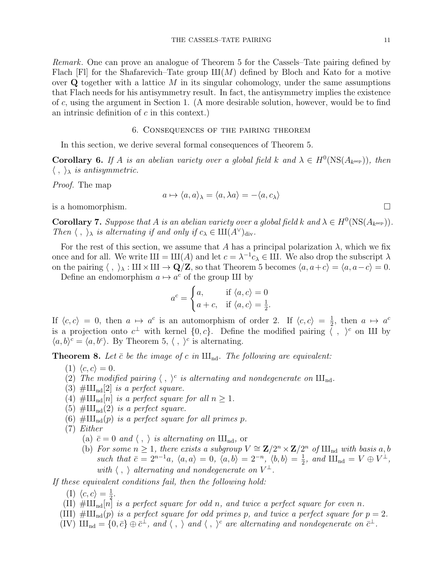Remark. One can prove an analogue of Theorem 5 for the Cassels–Tate pairing defined by Flach [Fl] for the Shafarevich–Tate group  $III(M)$  defined by Bloch and Kato for a motive over  $Q$  together with a lattice M in its singular cohomology, under the same assumptions that Flach needs for his antisymmetry result. In fact, the antisymmetry implies the existence of c, using the argument in Section 1. (A more desirable solution, however, would be to find an intrinsic definition of  $c$  in this context.)

## 6. Consequences of the pairing theorem

In this section, we derive several formal consequences of Theorem 5.

**Corollary 6.** If A is an abelian variety over a global field k and  $\lambda \in H^0(\text{NS}(A_{k^{\text{sep}}}))$ , then  $\langle , \rangle_{\lambda}$  is antisymmetric.

Proof. The map

$$
a \mapsto \langle a, a \rangle_{\lambda} = \langle a, \lambda a \rangle = -\langle a, c_{\lambda} \rangle
$$

is a homomorphism.

**Corollary 7.** Suppose that A is an abelian variety over a global field k and  $\lambda \in H^0(\text{NS}(A_{k^{\text{sep}}}))$ . Then  $\langle , \rangle_{\lambda}$  is alternating if and only if  $c_{\lambda} \in III(A^{\vee})_{\text{div}}$ .

For the rest of this section, we assume that A has a principal polarization  $\lambda$ , which we fix once and for all. We write  $III = III(A)$  and let  $c = \lambda^{-1} c_{\lambda} \in III$ . We also drop the subscript  $\lambda$ on the pairing  $\langle , \rangle_{\lambda} : \text{III} \times \text{III} \to \text{Q/Z}$ , so that Theorem 5 becomes  $\langle a, a+c \rangle = \langle a, a-c \rangle = 0$ .

Define an endomorphism  $a \mapsto a^c$  of the group III by

$$
a^{c} = \begin{cases} a, & \text{if } \langle a, c \rangle = 0 \\ a + c, & \text{if } \langle a, c \rangle = \frac{1}{2}. \end{cases}
$$

If  $\langle c, c \rangle = 0$ , then  $a \mapsto a^c$  is an automorphism of order 2. If  $\langle c, c \rangle = \frac{1}{2}$  $\frac{1}{2}$ , then  $a \mapsto a^c$ is a projection onto  $c^{\perp}$  with kernel  $\{0, c\}$ . Define the modified pairing  $\zeta$ ,  $\zeta$  on III by  $\langle a, b \rangle^c = \langle a, b^c \rangle$ . By Theorem 5,  $\langle , \rangle^c$  is alternating.

**Theorem 8.** Let  $\bar{c}$  be the image of c in  $\text{III}_{\text{nd}}$ . The following are equivalent:

- (1)  $\langle c, c \rangle = 0$ .
- (2) The modified pairing  $\langle , \rangle^c$  is alternating and nondegenerate on  $\text{III}_{\text{nd}}$ .
- (3)  $\#\text{III}_{\text{nd}}[2]$  is a perfect square.
- (4)  $\#\text{III}_{\text{nd}}[n]$  is a perfect square for all  $n \geq 1$ .
- (5)  $\#\text{III}_{\text{nd}}(2)$  is a perfect square.
- (6)  $\#\amalg_{\mathrm{nd}}(p)$  is a perfect square for all primes p.
- (7) Either
	- (a)  $\bar{c} = 0$  and  $\langle , \rangle$  is alternating on  $\text{III}_{\text{nd}}$ , or
	- (b) For some  $n \geq 1$ , there exists a subgroup  $V \cong \mathbb{Z}/2^n \times \mathbb{Z}/2^n$  of  $\text{III}_{\text{nd}}$  with basis a, b such that  $\bar{c} = 2^{n-1}a$ ,  $\langle a, a \rangle = 0$ ,  $\langle a, b \rangle = 2^{-n}$ ,  $\langle b, b \rangle = \frac{1}{2}$  $\frac{1}{2}$ , and  $\mathop{\rm III}_{\rm nd} = V \oplus V^{\perp}$ , with  $\langle , \rangle$  alternating and nondegenerate on  $V^{\perp}$ .

If these equivalent conditions fail, then the following hold:

- (I)  $\langle c, c \rangle = \frac{1}{2}$  $\frac{1}{2}.$
- (II)  $\#\text{III}_{nd}[n]$  is a perfect square for odd n, and twice a perfect square for even n.
- (III)  $\#\text{III}_{nd}(p)$  is a perfect square for odd primes p, and twice a perfect square for  $p = 2$ .
- $(W)$   $\mathbf{III}_{\mathrm{nd}} = \{0, \bar{c}\} \oplus \bar{c}^{\perp}$ , and  $\langle , \rangle$  and  $\langle , \rangle^c$  are alternating and nondegenerate on  $\bar{c}^{\perp}$ .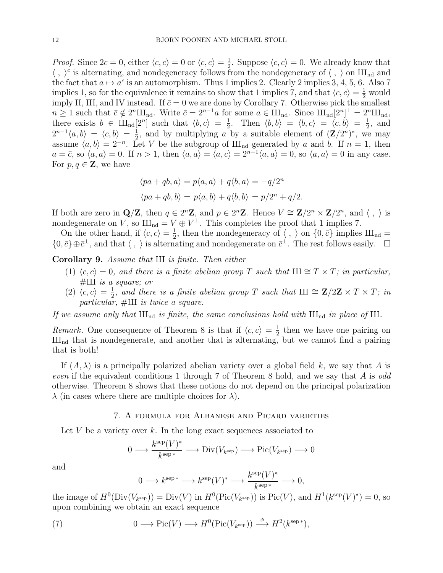*Proof.* Since  $2c = 0$ , either  $\langle c, c \rangle = 0$  or  $\langle c, c \rangle = \frac{1}{2}$  $\frac{1}{2}$ . Suppose  $\langle c, c \rangle = 0$ . We already know that  $\langle , \rangle^c$  is alternating, and nondegeneracy follows from the nondegeneracy of  $\langle , \rangle$  on  $\text{III}_{\text{nd}}$  and the fact that  $a \mapsto a^c$  is an automorphism. Thus 1 implies 2. Clearly 2 implies 3, 4, 5, 6. Also 7 implies 1, so for the equivalence it remains to show that 1 implies 7, and that  $\langle c, c \rangle = \frac{1}{2}$  would imply II, III, and IV instead. If  $\bar{c} = 0$  we are done by Corollary 7. Otherwise pick the smallest  $n \geq 1$  such that  $\bar{c} \notin 2^n \amalg_{\text{nd}}$ . Write  $\bar{c} = 2^{n-1}a$  for some  $a \in \amalg_{\text{nd}}$ . Since  $\amalg_{\text{nd}}[2^n]^{\perp} = 2^n \amalg_{\text{nd}}$ , there exists  $b \in \amalg_{\text{nd}}[2^n]$  such that  $\langle b, c \rangle = \frac{1}{2}$  $\frac{1}{2}$ . Then  $\langle b, b \rangle = \langle b, c \rangle = \langle c, b \rangle = \frac{1}{2}$  $\frac{1}{2}$ , and  $2^{n-1}\langle a,b\rangle = \langle c,b\rangle = \frac{1}{2}$  $\frac{1}{2}$ , and by multiplying a by a suitable element of  $(\mathbf{Z}/2^n)^*$ , we may assume  $\langle a, b \rangle = 2^{-n}$ . Let V be the subgroup of  $\text{III}_{\text{nd}}$  generated by a and b. If  $n = 1$ , then  $a = \bar{c}$ , so  $\langle a, a \rangle = 0$ . If  $n > 1$ , then  $\langle a, a \rangle = \langle a, c \rangle = 2^{n-1} \langle a, a \rangle = 0$ , so  $\langle a, a \rangle = 0$  in any case. For  $p, q \in \mathbf{Z}$ , we have

$$
\langle pa + qb, a \rangle = p\langle a, a \rangle + q\langle b, a \rangle = -q/2^n
$$
  

$$
\langle pa + qb, b \rangle = p\langle a, b \rangle + q\langle b, b \rangle = p/2^n + q/2.
$$

If both are zero in  $\mathbf{Q}/\mathbf{Z}$ , then  $q \in 2^n\mathbf{Z}$ , and  $p \in 2^n\mathbf{Z}$ . Hence  $V \cong \mathbf{Z}/2^n \times \mathbf{Z}/2^n$ , and  $\langle , \rangle$  is nondegenerate on V, so  $\text{III}_{\text{nd}} = V \oplus V^{\perp}$ . This completes the proof that 1 implies 7.

On the other hand, if  $\langle c, c \rangle = \frac{1}{2}$  $\frac{1}{2}$ , then the nondegeneracy of  $\langle , \rangle$  on  $\{0, \bar{c}\}\$ implies  $III_{nd} =$  $\{0,\bar{c}\}\oplus \bar{c}^{\perp}$ , and that  $\langle , \rangle$  is alternating and nondegenerate on  $\bar{c}^{\perp}$ . The rest follows easily.  $\Box$ 

Corollary 9. Assume that  $III$  is finite. Then either

- (1)  $\langle c, c \rangle = 0$ , and there is a finite abelian group T such that  $\mathbb{H} \cong T \times T$ ; in particular,  $\#\mathrm{III}$  is a square; or
- $(2) \langle c, c \rangle = \frac{1}{2}$  $\frac{1}{2}$ , and there is a finite abelian group T such that III  $\cong$  Z/2Z × T × T; in particular,  $\#\amalg$  is twice a square.

If we assume only that  $III_{nd}$  is finite, the same conclusions hold with  $III_{nd}$  in place of III.

*Remark.* One consequence of Theorem 8 is that if  $\langle c, c \rangle = \frac{1}{2}$  $\frac{1}{2}$  then we have one pairing on  $III<sub>nd</sub>$  that is nondegenerate, and another that is alternating, but we cannot find a pairing that is both!

If  $(A, \lambda)$  is a principally polarized abelian variety over a global field k, we say that A is even if the equivalent conditions 1 through 7 of Theorem 8 hold, and we say that A is odd otherwise. Theorem 8 shows that these notions do not depend on the principal polarization  $\lambda$  (in cases where there are multiple choices for  $\lambda$ ).

# 7. A formula for Albanese and Picard varieties

Let V be a variety over k. In the long exact sequences associated to

$$
0 \longrightarrow \frac{k^{\text{sep}}(V)^*}{k^{\text{sep}}} \longrightarrow \text{Div}(V_{k^{\text{sep}}}) \longrightarrow \text{Pic}(V_{k^{\text{sep}}}) \longrightarrow 0
$$

and

$$
0 \longrightarrow k^{\mathrm{sep}\,*} \longrightarrow k^{\mathrm{sep}}(V)^* \longrightarrow \frac{k^{\mathrm{sep}}(V)^*}{k^{\mathrm{sep}\,*}} \longrightarrow 0,
$$

the image of  $H^0(\text{Div}(V_{k^{\text{sep}}})) = \text{Div}(V)$  in  $H^0(\text{Pic}(V_{k^{\text{sep}}}))$  is  $\text{Pic}(V)$ , and  $H^1(k^{\text{sep}}(V)^*) = 0$ , so upon combining we obtain an exact sequence

(7) 
$$
0 \longrightarrow Pic(V) \longrightarrow H^0(Pic(V_{k^{\text{sep}}})) \stackrel{\phi}{\longrightarrow} H^2(k^{\text{sep}*}),
$$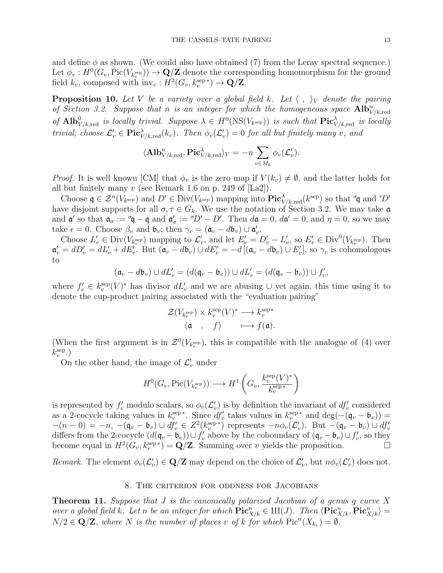and define  $\phi$  as shown. (We could also have obtained (7) from the Leray spectral sequence.) Let  $\phi_v: H^0(G_v, \text{Pic}(V_{k_v^{\text{sep}}})) \to \mathbf{Q}/\mathbf{Z}$  denote the corresponding homomorphism for the ground field  $k_v$ , composed with  $\text{inv}_v : H^2(G_v, k_v^{\text{sep}*}) \to \mathbf{Q}/\mathbf{Z}$ .

**Proposition 10.** Let V be a variety over a global field k. Let  $\langle , \rangle_V$  denote the pairing of Section 3.2. Suppose that n is an integer for which the homogeneous space  $\text{Alb}_{V/k,\text{red}}^n$ of  $\text{Alb}_{V/k, \text{red}}^0$  is locally trivial. Suppose  $\lambda \in H^0(\text{NS}(V_{k^{\text{sep}}}))$  is such that  $\text{Pic}^{\lambda}_{V/k, \text{red}}$  is locally trivial; choose  $\mathcal{L}'_v \in \textbf{Pic}^{\lambda}_{V/k, \text{red}}(k_v)$ . Then  $\phi_v(\mathcal{L}'_v) = 0$  for all but finitely many v, and

$$
\langle \textbf{Alb}_{V/k, \text{red}}^n, \textbf{Pic}_{V/k, \text{red}}^{\lambda} \rangle_V = -n \sum_{v \in M_k} \phi_v(\mathcal{L}'_v).
$$

*Proof.* It is well known [CM] that  $\phi_v$  is the zero map if  $V(k_v) \neq \emptyset$ , and the latter holds for all but finitely many  $v$  (see Remark 1.6 on p. 249 of  $[La2]$ ).

Choose  $\mathfrak{q} \in \mathcal{Z}^n(V_{k^{\text{sep}}})$  and  $D' \in \text{Div}(V_{k^{\text{sep}}})$  mapping into  $\text{Pic}^{\lambda}_{V/k, \text{red}}(k^{\text{sep}})$  so that  $\sigma \mathfrak{q}$  and  $\tau D'$ have disjoint supports for all  $\sigma, \tau \in G_k$ . We use the notation of Section 3.2. We may take a and  $\mathfrak{a}'$  so that  $\mathfrak{a}_{\sigma} := \mathfrak{a}_{\mathfrak{q}} - \mathfrak{q}$  and  $\mathfrak{a}'_{\sigma} := \mathfrak{a}_{\mathfrak{p}} - D'$ . Then  $d\mathfrak{a} = 0$ ,  $d\mathfrak{a}' = 0$ , and  $\eta = 0$ , so we may take  $\epsilon = 0$ . Choose  $\beta_v$  and  $\mathfrak{b}_v$ ; then  $\gamma_v = (\mathfrak{a}_v - d\mathfrak{b}_v) \cup \mathfrak{a}'_v$ .

Choose  $L'_v \in Div(V_{k_v^{\text{sep}}})$  mapping to  $\mathcal{L}'_v$ , and let  $E'_v = D'_v - L'_v$ , so  $E'_v \in Div^0(V_{k_v^{\text{sep}}})$ . Then  $\mathfrak{a}'_v = dD'_v = dL'_v + dE'_v$ . But  $(\mathfrak{a}_v - d\mathfrak{b}_v) \cup dE'_v = -d[(\mathfrak{a}_v - d\mathfrak{b}_v) \cup E'_v]$ , so  $\gamma_v$  is cohomologous to

$$
(\mathfrak{a}_v - d\mathfrak{b}_v) \cup dL'_v = (d(\mathfrak{q}_v - \mathfrak{b}_v)) \cup dL'_v = (d(\mathfrak{q}_v - \mathfrak{b}_v)) \cup f'_v,
$$

where  $f'_{v} \in k_{v}^{\text{sep}}(V)^{*}$  has divisor  $dL'_{v}$  and we are abusing  $\cup$  yet again, this time using it to denote the cup-product pairing associated with the "evaluation pairing"

$$
\begin{array}{ccc} \mathcal{Z}(V_{k_v^{\text{sep}}}) \times k_v^{\text{sep}}(V)^* \longrightarrow k_v^{\text{sep}*} \\ (\mathfrak{a} & , & f) & \longmapsto f(\mathfrak{a}). \end{array}
$$

(When the first argument is in  $\mathcal{Z}^0(V_{k_v^{\text{sep}}})$ , this is compatible with the analogue of (4) over  $k_v^{\text{sep}}$ .)

On the other hand, the image of  $\mathcal{L}'_v$  under

$$
H^0(G_v, \mathrm{Pic}(V_{k_v^{\mathrm{sep}}})) \longrightarrow H^1\left(G_v, \frac{k_v^{\mathrm{sep}}(V)^*}{k_v^{\mathrm{sep}*}}\right)
$$

is represented by  $f'_v$  modulo scalars, so  $\phi_v(\mathcal{L}'_v)$  is by definition the invariant of  $df'_v$  considered as a 2-cocycle taking values in  $k_v^{\text{sep}*}$ . Since  $df'_v$  takes values in  $k_v^{\text{sep}*}$  and  $\deg(-(q_v - b_v)) =$  $-(n-0) = -n, \, -(\mathfrak{q}_v - \mathfrak{b}_v) \cup df'_v \in Z^2(k_v^{\text{sep}*})$  represents  $-n\phi_v(\mathcal{L}'_v)$ . But  $-(\mathfrak{q}_v - \mathfrak{b}_v) \cup df'_v$ differs from the 2-cocycle  $(d(\mathfrak{q}_v - \mathfrak{b}_v)) \cup f'_v$  above by the coboundary of  $(\mathfrak{q}_v - \mathfrak{b}_v) \cup f'_v$ , so they become equal in  $H^2(G_v, k_v^{\text{sep}*}) = \mathbf{Q}/\mathbf{Z}$ . Summing over v yields the proposition.

Remark. The element  $\phi_v(\mathcal{L}'_v) \in \mathbf{Q}/\mathbf{Z}$  may depend on the choice of  $\mathcal{L}'_v$ , but  $n\phi_v(\mathcal{L}'_v)$  does not.

# 8. The criterion for oddness for Jacobians

**Theorem 11.** Suppose that  $J$  is the canonically polarized Jacobian of a genus  $g$  curve  $X$ over a global field k. Let n be an integer for which  $\mathbf{Pic}^n_{X/k} \in \mathrm{III}(J)$ . Then  $\langle \mathbf{Pic}^n_{X/k}, \mathbf{Pic}^n_{X/k} \rangle =$  $N/2 \in \mathbf{Q}/\mathbf{Z}$ , where N is the number of places v of k for which  $\text{Pic}^n(X_{k_v}) = \emptyset$ .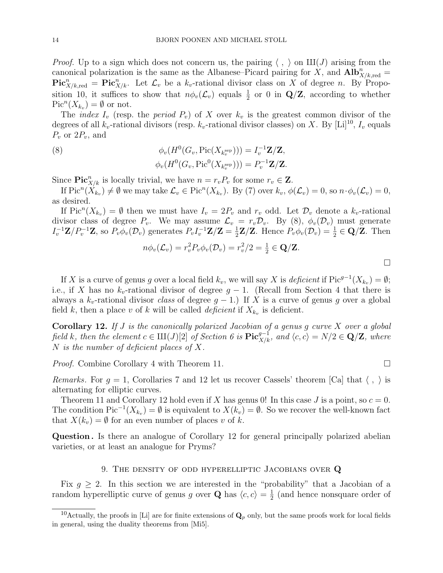*Proof.* Up to a sign which does not concern us, the pairing  $\langle , \rangle$  on  $\mathop{\rm III}(J)$  arising from the canonical polarization is the same as the Albanese–Picard pairing for X, and  $\textbf{Alb}_{X/k, \text{red}}^n =$  $\mathbf{Pic}^n_{X/k,\text{red}} = \mathbf{Pic}^n_{X/k}.$  Let  $\mathcal{L}_v$  be a  $k_v$ -rational divisor class on X of degree n. By Proposition 10, it suffices to show that  $n\phi_v(\mathcal{L}_v)$  equals  $\frac{1}{2}$  or 0 in Q/Z, according to whether  $\operatorname{Pic}^n(X_{k_v}) = \emptyset$  or not.

The *index*  $I_v$  (resp. the *period*  $P_v$ ) of X over  $k_v$  is the greatest common divisor of the degrees of all  $k_v$ -rational divisors (resp.  $k_v$ -rational divisor classes) on X. By [Li]<sup>10</sup>,  $I_v$  equals  $P_v$  or  $2P_v$ , and

(8) 
$$
\phi_v(H^0(G_v, \text{Pic}(X_{k_v^{\text{sep}}})) = I_v^{-1} \mathbf{Z}/\mathbf{Z},
$$

$$
\phi_v(H^0(G_v, \text{Pic}^0(X_{k_v^{\text{sep}}}))) = P_v^{-1} \mathbf{Z}/\mathbf{Z}.
$$

Since  $\mathbf{Pic}^n_{X/k}$  is locally trivial, we have  $n = r_v P_v$  for some  $r_v \in \mathbf{Z}$ .

If  $\text{Pic}^n(X_{k_v}) \neq \emptyset$  we may take  $\mathcal{L}_v \in \text{Pic}^n(X_{k_v})$ . By (7) over  $k_v$ ,  $\phi(\mathcal{L}_v) = 0$ , so  $n \cdot \phi_v(\mathcal{L}_v) = 0$ , as desired.

If  $Pic^{n}(X_{k_{v}}) = \emptyset$  then we must have  $I_{v} = 2P_{v}$  and  $r_{v}$  odd. Let  $\mathcal{D}_{v}$  denote a  $k_{v}$ -rational divisor class of degree  $P_v$ . We may assume  $\mathcal{L}_v = r_v \mathcal{D}_v$ . By (8),  $\phi_v(\mathcal{D}_v)$  must generate  $I_v^{-1} \mathbf{Z}/P_v^{-1} \mathbf{Z}$ , so  $P_v \phi_v(\mathcal{D}_v)$  generates  $P_v I_v^{-1} \mathbf{Z}/\mathbf{Z} = \frac{1}{2}$  $\frac{1}{2} \mathbf{Z}/\mathbf{Z}$ . Hence  $P_v \phi_v(\mathcal{D}_v) = \frac{1}{2} \in \mathbf{Q}/\mathbf{Z}$ . Then

$$
n\phi_v(\mathcal{L}_v) = r_v^2 P_v \phi_v(\mathcal{D}_v) = r_v^2/2 = \frac{1}{2} \in \mathbf{Q}/\mathbf{Z}.
$$

If X is a curve of genus g over a local field  $k_v$ , we will say X is deficient if  $Pic^{g-1}(X_{k_v}) = \emptyset$ ; i.e., if X has no  $k_v$ -rational divisor of degree  $g-1$ . (Recall from Section 4 that there is always a  $k_v$ -rational divisor *class* of degree  $g-1$ .) If X is a curve of genus g over a global field k, then a place v of k will be called *deficient* if  $X_{k_v}$  is deficient.

**Corollary 12.** If  $J$  is the canonically polarized Jacobian of a genus  $g$  curve  $X$  over a global field k, then the element  $c \in \mathrm{III}(J)[2]$  of Section 6 is  $\mathbf{Pic}^{g-1}_{X/k}$ , and  $\langle c, c \rangle = N/2 \in \mathbf{Q}/\mathbf{Z}$ , where N is the number of deficient places of X.

Proof. Combine Corollary 4 with Theorem 11.

*Remarks.* For  $g = 1$ , Corollaries 7 and 12 let us recover Cassels' theorem [Ca] that  $\langle , \rangle$  is alternating for elliptic curves.

Theorem 11 and Corollary 12 hold even if X has genus 0! In this case J is a point, so  $c = 0$ . The condition  $Pic^{-1}(X_{k_v}) = \emptyset$  is equivalent to  $X(k_v) = \emptyset$ . So we recover the well-known fact that  $X(k_v) = \emptyset$  for an even number of places v of k.

Question . Is there an analogue of Corollary 12 for general principally polarized abelian varieties, or at least an analogue for Pryms?

# 9. THE DENSITY OF ODD HYPERELLIPTIC JACOBIANS OVER  $Q$

Fix  $g \geq 2$ . In this section we are interested in the "probability" that a Jacobian of a random hyperelliptic curve of genus g over **Q** has  $\langle c, c \rangle = \frac{1}{2}$  $\frac{1}{2}$  (and hence nonsquare order of

<sup>&</sup>lt;sup>10</sup>Actually, the proofs in [Li] are for finite extensions of  $\mathbf{Q}_p$  only, but the same proofs work for local fields in general, using the duality theorems from [Mi5].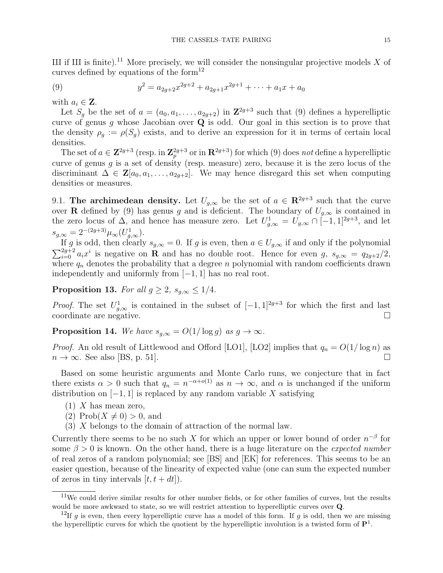III if III is finite).<sup>11</sup> More precisely, we will consider the nonsingular projective models X of curves defined by equations of the form<sup>12</sup>

(9) 
$$
y^2 = a_{2g+2}x^{2g+2} + a_{2g+1}x^{2g+1} + \cdots + a_1x + a_0
$$

with  $a_i \in \mathbf{Z}$ .

Let  $S_g$  be the set of  $a = (a_0, a_1, \ldots, a_{2g+2})$  in  $\mathbb{Z}^{2g+3}$  such that (9) defines a hyperelliptic curve of genus g whose Jacobian over  $\overline{Q}$  is odd. Our goal in this section is to prove that the density  $\rho_g := \rho(S_g)$  exists, and to derive an expression for it in terms of certain local densities.

The set of  $a \in \mathbb{Z}^{2g+3}$  (resp. in  $\mathbb{Z}_p^{2g+3}$  or in  $\mathbb{R}^{2g+3}$ ) for which (9) does not define a hyperelliptic curve of genus  $g$  is a set of density (resp. measure) zero, because it is the zero locus of the discriminant  $\Delta \in \mathbf{Z}[a_0, a_1, \ldots, a_{2g+2}]$ . We may hence disregard this set when computing densities or measures.

9.1. The archimedean density. Let  $U_{g,\infty}$  be the set of  $a \in \mathbb{R}^{2g+3}$  such that the curve over R defined by (9) has genus g and is deficient. The boundary of  $U_{q,\infty}$  is contained in the zero locus of  $\Delta$ , and hence has measure zero. Let  $U_{g,\infty}^1 = U_{g,\infty} \cap [-1,1]^{2g+3}$ , and let  $s_{g,\infty} = 2^{-(2g+3)} \mu_{\infty}(U_{g,\infty}^1).$ 

If g is odd, then clearly  $s_{q,\infty} = 0$ . If g is even, then  $a \in U_{q,\infty}$  if and only if the polynomial  $\sum_{i=0}^{2g+2} a_i x^i$  is negative on **R** and has no double root. Hence for even g,  $s_{g,\infty} = q_{2g+2}/2$ , where  $q_n$  denotes the probability that a degree n polynomial with random coefficients drawn independently and uniformly from [−1, 1] has no real root.

**Proposition 13.** For all  $g \geq 2$ ,  $s_{q,\infty} \leq 1/4$ .

*Proof.* The set  $U_{g,\infty}^1$  is contained in the subset of  $[-1,1]^{2g+3}$  for which the first and last coordinate are negative.

**Proposition 14.** We have  $s_{q,\infty} = O(1/\log g)$  as  $g \to \infty$ .

*Proof.* An old result of Littlewood and Offord [LO1], [LO2] implies that  $q_n = O(1/\log n)$  as  $n \to \infty$ . See also [BS, p. 51].

Based on some heuristic arguments and Monte Carlo runs, we conjecture that in fact there exists  $\alpha > 0$  such that  $q_n = n^{-\alpha + o(1)}$  as  $n \to \infty$ , and  $\alpha$  is unchanged if the uniform distribution on  $[-1, 1]$  is replaced by any random variable X satisfying

- $(1)$  X has mean zero,
- (2) Prob $(X \neq 0) > 0$ , and
- (3) X belongs to the domain of attraction of the normal law.

Currently there seems to be no such X for which an upper or lower bound of order  $n^{-\beta}$  for some  $\beta > 0$  is known. On the other hand, there is a huge literature on the *expected number* of real zeros of a random polynomial; see [BS] and [EK] for references. This seems to be an easier question, because of the linearity of expected value (one can sum the expected number of zeros in tiny intervals  $[t, t + dt]$ ).

 $11$ We could derive similar results for other number fields, or for other families of curves, but the results would be more awkward to state, so we will restrict attention to hyperelliptic curves over Q.

<sup>&</sup>lt;sup>12</sup>If g is even, then every hyperelliptic curve has a model of this form. If g is odd, then we are missing the hyperelliptic curves for which the quotient by the hyperelliptic involution is a twisted form of  $\mathbf{P}^1$ .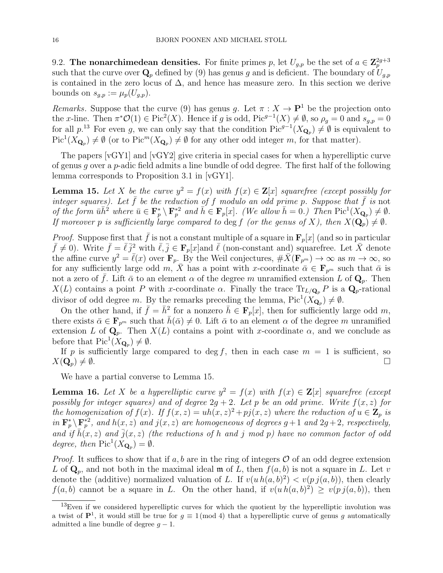9.2. The nonarchimedean densities. For finite primes p, let  $U_{g,p}$  be the set of  $a \in \mathbb{Z}_p^{2g+3}$ such that the curve over  $\mathbf{Q}_p$  defined by (9) has genus g and is deficient. The boundary of  $U_{q,p}$ is contained in the zero locus of  $\Delta$ , and hence has measure zero. In this section we derive bounds on  $s_{q,p} := \mu_p(U_{q,p})$ .

Remarks. Suppose that the curve (9) has genus g. Let  $\pi : X \to \mathbf{P}^1$  be the projection onto the x-line. Then  $\pi^* \mathcal{O}(1) \in \text{Pic}^2(X)$ . Hence if g is odd,  $\text{Pic}^{g-1}(X) \neq \emptyset$ , so  $\rho_g = 0$  and  $s_{g,p} = 0$ for all  $p^{13}$ . For even g, we can only say that the condition  $Pic^{g-1}(X_{\mathbf{Q}_p}) \neq \emptyset$  is equivalent to  $\text{Pic}^1(X_{\mathbf{Q}_p}) \neq \emptyset$  (or to  $\text{Pic}^m(X_{\mathbf{Q}_p}) \neq \emptyset$  for any other odd integer m, for that matter).

The papers [vGY1] and [vGY2] give criteria in special cases for when a hyperelliptic curve of genus q over a p-adic field admits a line bundle of odd degree. The first half of the following lemma corresponds to Proposition 3.1 in [vGY1].

**Lemma 15.** Let X be the curve  $y^2 = f(x)$  with  $f(x) \in \mathbb{Z}[x]$  squarefree (except possibly for integer squares). Let  $\bar{f}$  be the reduction of f modulo an odd prime p. Suppose that  $\bar{f}$  is not of the form  $\bar{u}\bar{h}^2$  where  $\bar{u}\in \mathbf{F}_p^*\setminus \mathbf{F}_p^{*2}$  and  $\bar{h}\in \mathbf{F}_p[x]$ . (We allow  $\bar{h}=0$ .) Then  $\text{Pic}^1(X_{\mathbf{Q}_p})\neq \emptyset$ . If moreover p is sufficiently large compared to deg f (or the genus of X), then  $X(\mathbf{Q}_p) \neq \emptyset$ .

*Proof.* Suppose first that  $\bar{f}$  is not a constant multiple of a square in  $\mathbf{F}_p[x]$  (and so in particular  $\bar{f} \neq 0$ ). Write  $\bar{f} = \bar{\ell} j^2$  with  $\bar{\ell}, \bar{j} \in \mathbf{F}_p[x]$  and  $\bar{\ell}$  (non-constant and) squarefree. Let  $\bar{X}$  denote the affine curve  $y^2 = \bar{\ell}(x)$  over  $\mathbf{F}_p$ . By the Weil conjectures,  $\#\bar{X}(\mathbf{F}_{p^m}) \to \infty$  as  $m \to \infty$ , so for any sufficiently large odd m,  $\bar{X}$  has a point with x-coordinate  $\bar{\alpha} \in \mathbf{F}_{p^m}$  such that  $\bar{\alpha}$  is not a zero of  $\bar{f}$ . Lift  $\bar{\alpha}$  to an element  $\alpha$  of the degree m unramified extension L of  $\mathbf{Q}_p$ . Then  $X(L)$  contains a point P with x-coordinate  $\alpha$ . Finally the trace  $\text{Tr}_{L/\mathbf{Q}_p} P$  is a  $\mathbf{Q}_p$ -rational divisor of odd degree m. By the remarks preceding the lemma,  $Pic^1(X_{\mathbf{Q}_p}) \neq \emptyset$ .

On the other hand, if  $\bar{f} = \bar{h}^2$  for a nonzero  $\bar{h} \in \mathbf{F}_p[x]$ , then for sufficiently large odd m, there exists  $\bar{\alpha} \in \mathbf{F}_{p^m}$  such that  $\bar{h}(\bar{\alpha}) \neq 0$ . Lift  $\bar{\alpha}$  to an element  $\alpha$  of the degree m unramified extension L of  $\mathbf{Q}_p$ . Then  $X(L)$  contains a point with x-coordinate  $\alpha$ , and we conclude as before that  $Pic^1(X_{\mathbf{Q}_p}) \neq \emptyset$ .

If p is sufficiently large compared to deg f, then in each case  $m = 1$  is sufficient, so  $X(\mathbf{Q}_{p})\neq\emptyset.$ 

We have a partial converse to Lemma 15.

**Lemma 16.** Let X be a hyperelliptic curve  $y^2 = f(x)$  with  $f(x) \in \mathbb{Z}[x]$  squarefree (except possibly for integer squares) and of degree  $2g + 2$ . Let p be an odd prime. Write  $f(x, z)$  for the homogenization of  $f(x)$ . If  $f(x, z) = uh(x, z)^2 + pj(x, z)$  where the reduction of  $u \in \mathbb{Z}_p$  is in  $\mathbf{F}_p^* \backslash \mathbf{F}_p^{*2}$ , and  $h(x, z)$  and  $j(x, z)$  are homogeneous of degrees  $g + 1$  and  $2g + 2$ , respectively, and if  $\bar{h}(x, z)$  and  $\bar{j}(x, z)$  (the reductions of h and j mod p) have no common factor of odd degree, then  $Pic^1(X_{\mathbf{Q}_p}) = \emptyset$ .

*Proof.* It suffices to show that if a, b are in the ring of integers  $\mathcal O$  of an odd degree extension L of  $\mathbf{Q}_p$ , and not both in the maximal ideal  $\mathfrak{m}$  of L, then  $f(a, b)$  is not a square in L. Let v denote the (additive) normalized valuation of L. If  $v(u \, h(a, b)^2) < v(p \, j(a, b))$ , then clearly  $f(a, b)$  cannot be a square in L. On the other hand, if  $v(u h(a, b)^2) \ge v(p j(a, b))$ , then

 $13$ Even if we considered hyperelliptic curves for which the quotient by the hyperelliptic involution was a twist of  $\mathbf{P}^1$ , it would still be true for  $g \equiv 1 \pmod{4}$  that a hyperelliptic curve of genus g automatically admitted a line bundle of degree  $g - 1$ .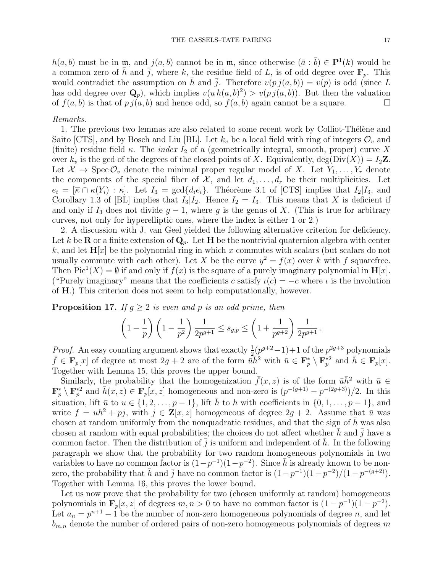$h(a, b)$  must be in  $\mathfrak{m}$ , and  $j(a, b)$  cannot be in  $\mathfrak{m}$ , since otherwise  $(\bar{a} : \bar{b}) \in \mathbf{P}^1(k)$  would be a common zero of  $\bar{h}$  and  $\bar{j}$ , where k, the residue field of L, is of odd degree over  $\mathbf{F}_p$ . This would contradict the assumption on h and  $\overline{j}$ . Therefore  $v(p j(a, b)) = v(p)$  is odd (since L has odd degree over  $\mathbf{Q}_p$ , which implies  $v(u h(a, b)^2) > v(p j(a, b))$ . But then the valuation of  $f(a, b)$  is that of  $pj(a, b)$  and hence odd, so  $f(a, b)$  again cannot be a square.

# Remarks.

1. The previous two lemmas are also related to some recent work by Colliot-Thélène and Saito [CTS], and by Bosch and Liu [BL]. Let  $k_v$  be a local field with ring of integers  $\mathcal{O}_v$  and (finite) residue field  $\kappa$ . The *index*  $I_2$  of a (geometrically integral, smooth, proper) curve X over  $k_v$  is the gcd of the degrees of the closed points of X. Equivalently,  $deg(Div(X)) = I_2 \mathbb{Z}$ . Let  $\mathcal{X} \to \text{Spec} \mathcal{O}_v$  denote the minimal proper regular model of X. Let  $Y_1, \ldots, Y_r$  denote the components of the special fiber of  $\mathcal{X}$ , and let  $d_1, \ldots, d_r$  be their multiplicities. Let  $e_i = [\overline{\kappa} \cap \kappa(Y_i) : \kappa].$  Let  $I_3 = \gcd\{d_i e_i\}.$  Théorème 3.1 of [CTS] implies that  $I_2|I_3$ , and Corollary 1.3 of [BL] implies that  $I_3|I_2$ . Hence  $I_2 = I_3$ . This means that X is deficient if and only if  $I_3$  does not divide  $g - 1$ , where g is the genus of X. (This is true for arbitrary curves, not only for hyperelliptic ones, where the index is either 1 or 2.)

2. A discussion with J. van Geel yielded the following alternative criterion for deficiency. Let k be **R** or a finite extension of  $\mathbf{Q}_p$ . Let **H** be the nontrivial quaternion algebra with center k, and let  $H[x]$  be the polynomial ring in which x commutes with scalars (but scalars do not usually commute with each other). Let X be the curve  $y^2 = f(x)$  over k with f squarefree. Then  $Pic^1(X) = \emptyset$  if and only if  $f(x)$  is the square of a purely imaginary polynomial in  $\mathbf{H}[x]$ . ("Purely imaginary" means that the coefficients c satisfy  $\iota(c) = -c$  where  $\iota$  is the involution of H.) This criterion does not seem to help computationally, however.

**Proposition 17.** If  $g \geq 2$  is even and p is an odd prime, then

$$
\left(1 - \frac{1}{p}\right)\left(1 - \frac{1}{p^2}\right) \frac{1}{2p^{g+1}} \le s_{g,p} \le \left(1 + \frac{1}{p^{g+2}}\right) \frac{1}{2p^{g+1}}.
$$

*Proof.* An easy counting argument shows that exactly  $\frac{1}{2}(p^{g+2}-1)+1$  of the  $p^{2g+3}$  polynomials  $\bar{f} \in \mathbf{F}_p[x]$  of degree at most  $2g + 2$  are of the form  $\bar{u} \bar{h}^2$  with  $\bar{u} \in \mathbf{F}_p^* \setminus \mathbf{F}_p^{*2}$  and  $\bar{h} \in \mathbf{F}_p[x]$ . Together with Lemma 15, this proves the upper bound.

Similarly, the probability that the homogenization  $\bar{f}(x, z)$  is of the form  $\bar{u} \bar{h}^2$  with  $\bar{u} \in$  $\mathbf{F}_p^* \setminus \mathbf{F}_p^{*2}$  and  $\bar{h}(x, z) \in \mathbf{F}_p[x, z]$  homogeneous and non-zero is  $(p^{-(g+1)} - p^{-(2g+3)})/2$ . In this situation, lift  $\bar{u}$  to  $u \in \{1, 2, \ldots, p-1\}$ , lift  $\bar{h}$  to h with coefficients in  $\{0, 1, \ldots, p-1\}$ , and write  $f = uh^2 + pj$ , with  $j \in \mathbf{Z}[x, z]$  homogeneous of degree  $2g + 2$ . Assume that  $\bar{u}$  was chosen at random uniformly from the nonquadratic residues, and that the sign of  $\bar{h}$  was also chosen at random with equal probabilities; the choices do not affect whether h and  $j$  have a common factor. Then the distribution of  $\overline{j}$  is uniform and independent of h. In the following paragraph we show that the probability for two random homogeneous polynomials in two variables to have no common factor is  $(1-p^{-1})(1-p^{-2})$ . Since  $\overline{h}$  is already known to be nonzero, the probability that  $\bar{h}$  and  $\bar{j}$  have no common factor is  $(1-p^{-1})(1-p^{-2})/(1-p^{-(g+2)})$ . Together with Lemma 16, this proves the lower bound.

Let us now prove that the probability for two (chosen uniformly at random) homogeneous polynomials in  $\mathbf{F}_p[x, z]$  of degrees  $m, n > 0$  to have no common factor is  $(1 - p^{-1})(1 - p^{-2})$ . Let  $a_n = p^{n+1} - 1$  be the number of non-zero homogeneous polynomials of degree n, and let  $b_{m,n}$  denote the number of ordered pairs of non-zero homogeneous polynomials of degrees m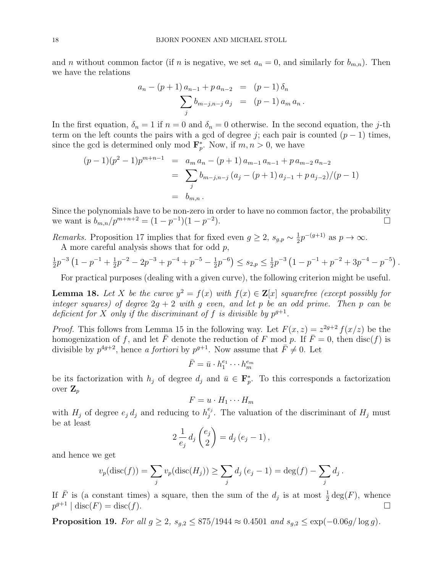and n without common factor (if n is negative, we set  $a_n = 0$ , and similarly for  $b_{m,n}$ ). Then we have the relations

$$
a_n - (p+1) a_{n-1} + p a_{n-2} = (p-1) \delta_n
$$
  

$$
\sum_j b_{m-j,n-j} a_j = (p-1) a_m a_n.
$$

In the first equation,  $\delta_n = 1$  if  $n = 0$  and  $\delta_n = 0$  otherwise. In the second equation, the j-th term on the left counts the pairs with a gcd of degree j; each pair is counted  $(p-1)$  times, since the gcd is determined only mod  $\mathbf{F}_p^*$ . Now, if  $m, n > 0$ , we have

$$
(p-1)(p2-1)pm+n-1 = am an - (p+1) am-1 an-1 + p am-2 an-2
$$
  
= 
$$
\sum_{j} b_{m-j,n-j} (a_j - (p+1) a_{j-1} + p a_{j-2})/(p-1)
$$
  
= 
$$
b_{m,n}.
$$

Since the polynomials have to be non-zero in order to have no common factor, the probability we want is  $b_{m,n}/p^{m+n+2} = (1-p^{-1})(1-p^{-2})$ ).  $\Box$ 

Remarks. Proposition 17 implies that for fixed even  $g \geq 2$ ,  $s_{g,p} \sim \frac{1}{2}$  $\frac{1}{2}p^{-(g+1)}$  as  $p \to \infty$ . A more careful analysis shows that for odd p,

$$
\frac{1}{2}p^{-3}\left(1-p^{-1}+\frac{1}{2}p^{-2}-2p^{-3}+p^{-4}+p^{-5}-\frac{1}{2}p^{-6}\right)\leq s_{2,p}\leq \frac{1}{2}p^{-3}\left(1-p^{-1}+p^{-2}+3p^{-4}-p^{-5}\right).
$$

For practical purposes (dealing with a given curve), the following criterion might be useful.

**Lemma 18.** Let X be the curve  $y^2 = f(x)$  with  $f(x) \in \mathbb{Z}[x]$  squarefree (except possibly for integer squares) of degree  $2g + 2$  with g even, and let p be an odd prime. Then p can be deficient for X only if the discriminant of f is divisible by  $p^{g+1}$ .

*Proof.* This follows from Lemma 15 in the following way. Let  $F(x, z) = z^{2g+2} f(x/z)$  be the homogenization of f, and let  $\overline{F}$  denote the reduction of F mod p. If  $\overline{F} = 0$ , then disc(f) is divisible by  $p^{4g+2}$ , hence a fortiori by  $p^{g+1}$ . Now assume that  $\overline{F} \neq 0$ . Let

$$
\bar{F} = \bar{u} \cdot h_1^{e_1} \cdots h_m^{e_m}
$$

be its factorization with  $h_j$  of degree  $d_j$  and  $\bar{u} \in \mathbf{F}_p^*$ . To this corresponds a factorization over  $\mathbf{Z}_p$ 

$$
F = u \cdot H_1 \cdots H_m
$$

with  $H_j$  of degree  $e_j d_j$  and reducing to  $h_j^{e_j}$  $_{j}^{e_j}$ . The valuation of the discriminant of  $H_j$  must be at least

$$
2\frac{1}{e_j}d_j\left(\frac{e_j}{2}\right)=d_j\left(e_j-1\right),\,
$$

and hence we get

$$
v_p(\text{disc}(f)) = \sum_j v_p(\text{disc}(H_j)) \ge \sum_j d_j (e_j - 1) = \text{deg}(f) - \sum_j d_j.
$$

If  $\overline{F}$  is (a constant times) a square, then the sum of the  $d_j$  is at most  $\frac{1}{2} \deg(F)$ , whence  $p^{g+1} \mid \text{disc}(F) = \text{disc}(f).$ 

**Proposition 19.** For all  $g \ge 2$ ,  $s_{g,2} \le 875/1944 \approx 0.4501$  and  $s_{g,2} \le \exp(-0.06g/\log g)$ .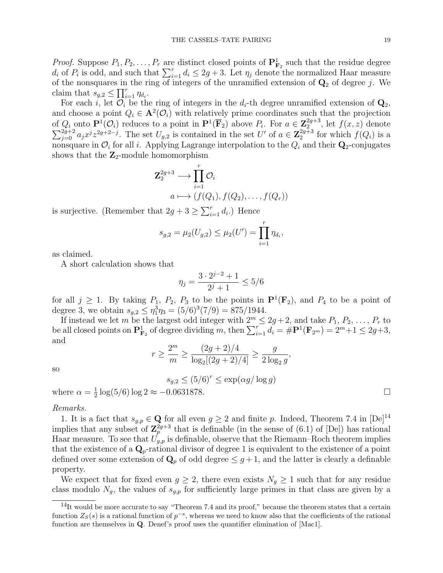*Proof.* Suppose  $P_1, P_2, \ldots, P_r$  are distinct closed points of  $\mathbf{P}_{\mathbf{F}_2}^1$  such that the residue degree  $d_i$  of  $P_i$  is odd, and such that  $\sum_{i=1}^r d_i \leq 2g+3$ . Let  $\eta_j$  denote the normalized Haar measure of the nonsquares in the ring of integers of the unramified extension of  $\mathbf{Q}_2$  of degree j. We claim that  $s_{g,2} \leq \prod_{i=1}^r \eta_{d_i}$ .

For each i, let  $\mathcal{O}_i$  be the ring of integers in the  $d_i$ -th degree unramified extension of  $\mathbf{Q}_2$ , and choose a point  $Q_i \in \mathbf{A}^2(\mathcal{O}_i)$  with relatively prime coordinates such that the projection of  $Q_i$  onto  $\mathbf{P}^1(\mathcal{O}_i)$  reduces to a point in  $\mathbf{P}^1(\overline{\mathbf{F}}_2)$  above  $P_i$ . For  $a \in \mathbf{Z}_2^{2g+3}$ 2  $\sum$ , let  $f(x, z)$  denote  $\frac{2g+2}{g=0}a_jx^jz^{2g+2-j}$ . The set  $U_{g,2}$  is contained in the set  $U'$  of  $a \in \mathbb{Z}_2^{2g+3}$  $_2^{2g+3}$  for which  $f(Q_i)$  is a nonsquare in  $\mathcal{O}_i$  for all i. Applying Lagrange interpolation to the  $Q_i$  and their  $\mathbf{Q}_2$ -conjugates shows that the  $\mathbb{Z}_2$ -module homomorphism

$$
\mathbf{Z}_{2}^{2g+3} \longrightarrow \prod_{i=1}^{r} \mathcal{O}_{i}
$$

$$
a \longmapsto (f(Q_{1}), f(Q_{2}), \dots, f(Q_{r}))
$$

is surjective. (Remember that  $2g + 3 \ge \sum_{i=1}^{r} d_i$ .) Hence

$$
s_{g,2} = \mu_2(U_{g,2}) \leq \mu_2(U') = \prod_{i=1}^r \eta_{d_i},
$$

as claimed.

A short calculation shows that

$$
\eta_j = \frac{3 \cdot 2^{j-2} + 1}{2^j + 1} \le 5/6
$$

for all  $j \geq 1$ . By taking  $P_1$ ,  $P_2$ ,  $P_3$  to be the points in  $\mathbf{P}^1(\mathbf{F}_2)$ , and  $P_4$  to be a point of degree 3, we obtain  $s_{g,2} \leq \eta_1^3 \eta_3 = (5/6)^3 (7/9) = 875/1944.$ 

If instead we let m be the largest odd integer with  $2^m \le 2g+2$ , and take  $P_1, P_2, \ldots, P_r$  to be all closed points on  $\mathbf{P}_{\mathbf{F}_2}^1$  of degree dividing m, then  $\sum_{i=1}^r d_i = \# \mathbf{P}^1(\mathbf{F}_{2^m}) = 2^m + 1 \leq 2g + 3$ , and

$$
r \ge \frac{2^m}{m} \ge \frac{(2g+2)/4}{\log_2[(2g+2)/4]} \ge \frac{g}{2\log_2 g}
$$

,

so

 $s_{g,2} \leq (5/6)^r \leq \exp(\alpha g/\log g)$ where  $\alpha = \frac{1}{2}$  $\frac{1}{2}\log(5/6)\log 2 \approx -0.0631878.$ 

#### Remarks.

1. It is a fact that  $s_{q,p} \in \mathbf{Q}$  for all even  $q \geq 2$  and finite p. Indeed, Theorem 7.4 in  $[De]^{14}$ implies that any subset of  $\mathbb{Z}_p^{2g+3}$  that is definable (in the sense of (6.1) of [De]) has rational Haar measure. To see that  $U_{g,p}$  is definable, observe that the Riemann–Roch theorem implies that the existence of a  $\mathbf{Q}_p$ -rational divisor of degree 1 is equivalent to the existence of a point defined over some extension of  $\mathbf{Q}_p$  of odd degree  $\leq g+1$ , and the latter is clearly a definable property.

We expect that for fixed even  $g \geq 2$ , there even exists  $N_g \geq 1$  such that for any residue class modulo  $N_q$ , the values of  $s_{q,p}$  for sufficiently large primes in that class are given by a

 $14$ It would be more accurate to say "Theorem 7.4 and its proof," because the theorem states that a certain function  $Z_S(s)$  is a rational function of  $p^{-s}$ , whereas we need to know also that the coefficients of the rational function are themselves in Q. Denef's proof uses the quantifier elimination of [Mac1].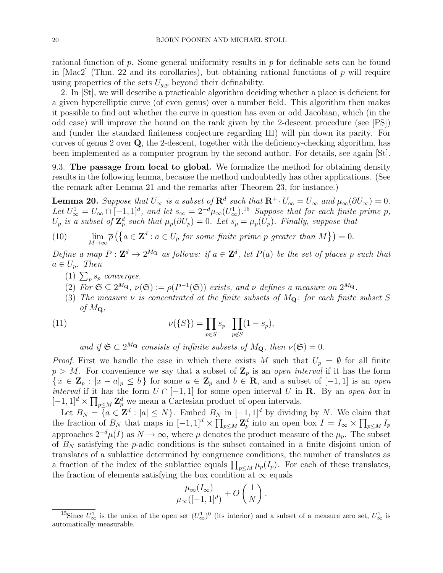rational function of p. Some general uniformity results in p for definable sets can be found in  $\text{[Mac2]}$  (Thm. 22 and its corollaries), but obtaining rational functions of p will require using properties of the sets  $U_{q,p}$  beyond their definability.

2. In [St], we will describe a practicable algorithm deciding whether a place is deficient for a given hyperelliptic curve (of even genus) over a number field. This algorithm then makes it possible to find out whether the curve in question has even or odd Jacobian, which (in the odd case) will improve the bound on the rank given by the 2-descent procedure (see [PS]) and (under the standard finiteness conjecture regarding III) will pin down its parity. For curves of genus 2 over Q, the 2-descent, together with the deficiency-checking algorithm, has been implemented as a computer program by the second author. For details, see again [St].

9.3. The passage from local to global. We formalize the method for obtaining density results in the following lemma, because the method undoubtedly has other applications. (See the remark after Lemma 21 and the remarks after Theorem 23, for instance.)

**Lemma 20.** Suppose that  $U_{\infty}$  is a subset of  $\mathbb{R}^d$  such that  $\mathbb{R}^+ \cdot U_{\infty} = U_{\infty}$  and  $\mu_{\infty}(\partial U_{\infty}) = 0$ . Let  $U^1_{\infty} = U_{\infty} \cap [-1,1]^d$ , and let  $s_{\infty} = 2^{-d} \mu_{\infty}(U^1_{\infty})$ .<sup>15</sup> Suppose that for each finite prime p,  $U_p$  is a subset of  $\mathbb{Z}_p^d$  such that  $\mu_p(\partial U_p) = 0$ . Let  $s_p = \mu_p(U_p)$ . Finally, suppose that

(10) 
$$
\lim_{M \to \infty} \overline{\rho} \left( \left\{ a \in \mathbf{Z}^d : a \in U_p \text{ for some finite prime } p \text{ greater than } M \right\} \right) = 0.
$$

Define a map  $P: \mathbf{Z}^d \to 2^M$  as follows: if  $a \in \mathbf{Z}^d$ , let  $P(a)$  be the set of places p such that  $a \in U_n$ . Then

- (1)  $\sum_{p} s_p$  converges.
- (2) For  $\mathfrak{S} \subseteq 2^{M_{\mathbf{Q}}}, \nu(\mathfrak{S}) := \rho(P^{-1}(\mathfrak{S}))$  exists, and  $\nu$  defines a measure on  $2^{M_{\mathbf{Q}}}.$
- (3) The measure  $\nu$  is concentrated at the finite subsets of  $M_{\mathbf{Q}}$ : for each finite subset S of  $M_{\mathbf{Q}}$ ,

(11) 
$$
\nu({S}) = \prod_{p \in S} s_p \prod_{p \notin S} (1 - s_p),
$$

and if  $\mathfrak{S} \subset 2^{M_{\mathbf{Q}}}$  consists of infinite subsets of  $M_{\mathbf{Q}}$ , then  $\nu(\mathfrak{S}) = 0$ .

*Proof.* First we handle the case in which there exists M such that  $U_p = \emptyset$  for all finite  $p > M$ . For convenience we say that a subset of  $\mathbb{Z}_p$  is an open interval if it has the form  $\{x \in \mathbb{Z}_p : |x - a|_p \le b\}$  for some  $a \in \mathbb{Z}_p$  and  $b \in \mathbb{R}$ , and a subset of  $[-1, 1]$  is an open *interval* if it has the form  $U \cap [-1,1]$  for some open interval U in **R**. By an open box in  $[-1, 1]^d \times \prod_{p \le M} \mathbf{Z}_p^d$  we mean a Cartesian product of open intervals.

Let  $B_N = \{a \in \mathbb{Z}^d : |a| \leq N\}$ . Embed  $B_N$  in  $[-1,1]^d$  by dividing by N. We claim that the fraction of  $B_N$  that maps in  $[-1,1]^d \times \prod_{p \le M} \mathbb{Z}_p^d$  into an open box  $I = I_{\infty} \times \prod_{p \le M} I_p$ approaches  $2^{-d}\mu(I)$  as  $N \to \infty$ , where  $\mu$  denotes the product measure of the  $\mu_p$ . The subset of  $B<sub>N</sub>$  satisfying the p-adic conditions is the subset contained in a finite disjoint union of translates of a sublattice determined by congruence conditions, the number of translates as a fraction of the index of the sublattice equals  $\prod_{p\leq M}\mu_p(I_p)$ . For each of these translates, the fraction of elements satisfying the box condition at  $\infty$  equals

$$
\frac{\mu_{\infty}(I_{\infty})}{\mu_{\infty}([-1,1]^{d})} + O\left(\frac{1}{N}\right).
$$

<sup>&</sup>lt;sup>15</sup>Since  $U^1_\infty$  is the union of the open set  $(U^1_\infty)^0$  (its interior) and a subset of a measure zero set,  $U^1_\infty$  is automatically measurable.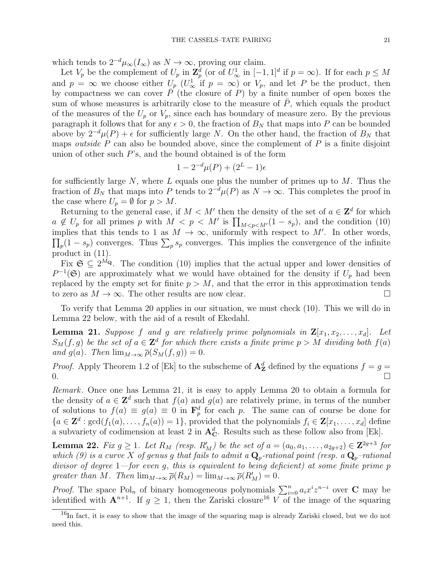which tends to  $2^{-d}\mu_{\infty}(I_{\infty})$  as  $N \to \infty$ , proving our claim.

Let  $V_p$  be the complement of  $U_p$  in  $\mathbb{Z}_p^d$  (or of  $U^1_{\infty}$  in  $[-1,1]^d$  if  $p = \infty$ ). If for each  $p \leq M$ and  $p = \infty$  we choose either  $U_p$  ( $U^1_{\infty}$  if  $p = \infty$ ) or  $V_p$ , and let P be the product, then by compactness we can cover  $\overline{P}$  (the closure of P) by a finite number of open boxes the sum of whose measures is arbitrarily close to the measure of  $\bar{P}$ , which equals the product of the measures of the  $U_p$  or  $V_p$ , since each has boundary of measure zero. By the previous paragraph it follows that for any  $\epsilon > 0$ , the fraction of  $B<sub>N</sub>$  that maps into P can be bounded above by  $2^{-d}\mu(P) + \epsilon$  for sufficiently large N. On the other hand, the fraction of  $B_N$  that maps *outside*  $P$  can also be bounded above, since the complement of  $P$  is a finite disjoint union of other such  $P$ 's, and the bound obtained is of the form

$$
1 - 2^{-d} \mu(P) + (2^L - 1)\epsilon
$$

for sufficiently large N, where L equals one plus the number of primes up to  $M$ . Thus the fraction of  $B_N$  that maps into P tends to  $2^{-d}\mu(P)$  as  $N \to \infty$ . This completes the proof in the case where  $U_p = \emptyset$  for  $p > M$ .

Returning to the general case, if  $M < M'$  then the density of the set of  $a \in \mathbb{Z}^d$  for which  $a \notin U_p$  for all primes p with  $M < p < M'$  is  $\prod_{M < p < M'} (1 - s_p)$ , and the condition (10) implies that this tends to 1 as  $M \to \infty$ , uniformly with respect to M'. In other words,  $\prod_p(1-s_p)$  converges. Thus  $\sum_p s_p$  converges. This implies the convergence of the infinite product in (11).

Fix  $\mathfrak{S} \subseteq 2^{M_{\mathbf{Q}}}$ . The condition (10) implies that the actual upper and lower densities of  $P^{-1}(\mathfrak{S})$  are approximately what we would have obtained for the density if  $U_p$  had been replaced by the empty set for finite  $p > M$ , and that the error in this approximation tends to zero as  $M \to \infty$ . The other results are now clear.

To verify that Lemma 20 applies in our situation, we must check (10). This we will do in Lemma 22 below, with the aid of a result of Ekedahl.

**Lemma 21.** Suppose f and g are relatively prime polynomials in  $\mathbf{Z}[x_1, x_2, \ldots, x_d]$ . Let  $S_M(f,g)$  be the set of  $a \in \mathbb{Z}^d$  for which there exists a finite prime  $p > M$  dividing both  $f(a)$ and  $g(a)$ . Then  $\lim_{M\to\infty} \overline{\rho}(S_M(f,g)) = 0$ .

*Proof.* Apply Theorem 1.2 of [Ek] to the subscheme of  $\mathbf{A}_{\mathbf{Z}}^d$  defined by the equations  $f = g =$  $\overline{a}$  0.

Remark. Once one has Lemma 21, it is easy to apply Lemma 20 to obtain a formula for the density of  $a \in \mathbb{Z}^d$  such that  $f(a)$  and  $g(a)$  are relatively prime, in terms of the number of solutions to  $f(a) \equiv g(a) \equiv 0$  in  $\mathbf{F}_p^d$  for each p. The same can of course be done for  ${a \in \mathbf{Z}^d : \gcd(f_1(a), \ldots, f_n(a)) = 1}$ , provided that the polynomials  $f_i \in \mathbf{Z}[x_1, \ldots, x_d]$  define a subvariety of codimension at least 2 in  $\mathbf{A}_{\mathbf{C}}^d$ . Results such as these follow also from [Ek].

**Lemma 22.** Fix  $g \geq 1$ . Let  $R_M$  (resp.  $R'_M$ ) be the set of  $a = (a_0, a_1, \ldots, a_{2g+2}) \in \mathbb{Z}^{2g+3}$  for which (9) is a curve X of genus g that fails to admit a  $\mathbf{Q}_p$ -rational point (resp. a  $\mathbf{Q}_p$ -rational divisor of degree  $1$ —for even g, this is equivalent to being deficient) at some finite prime p greater than M. Then  $\lim_{M\to\infty} \overline{\rho}(R_M) = \lim_{M\to\infty} \overline{\rho}(R_M') = 0$ .

*Proof.* The space Pol<sub>n</sub> of binary homogeneous polynomials  $\sum_{i=0}^{n} a_i x^i z^{n-i}$  over C may be identified with  $A^{n+1}$ . If  $g \geq 1$ , then the Zariski closure<sup>16</sup> V of the image of the squaring

<sup>&</sup>lt;sup>16</sup>In fact, it is easy to show that the image of the squaring map is already Zariski closed, but we do not need this.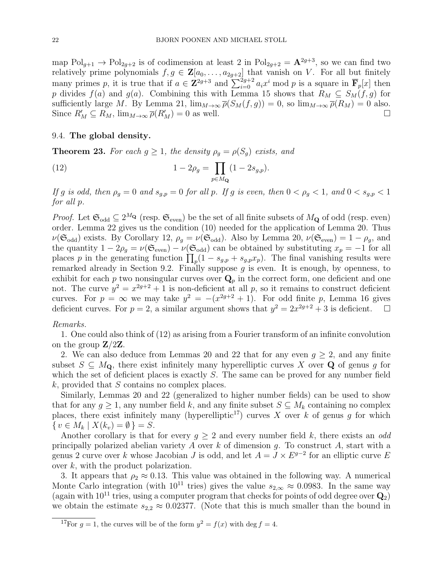map  $Pol_{g+1} \to Pol_{2g+2}$  is of codimension at least 2 in  $Pol_{2g+2} = \mathbf{A}^{2g+3}$ , so we can find two relatively prime polynomials  $f, g \in \mathbf{Z}[a_0, \ldots, a_{2g+2}]$  that vanish on V. For all but finitely many primes p, it is true that if  $a \in \mathbb{Z}^{2g+3}$  and  $\sum_{i=0}^{2g+2} a_i x^i \mod p$  is a square in  $\overline{\mathbf{F}}_p[x]$  then p divides  $f(a)$  and  $g(a)$ . Combining this with Lemma 15 shows that  $R_M \subseteq S_M(f,g)$  for sufficiently large M. By Lemma 21,  $\lim_{M\to\infty} \bar{\rho}(S_M(f,g)) = 0$ , so  $\lim_{M\to\infty} \bar{\rho}(R_M) = 0$  also. Since  $R'_M \subseteq R_M$ ,  $\lim_{M \to \infty} \overline{\rho}(R'_M) = 0$  as well.

# 9.4. The global density.

**Theorem 23.** For each  $g \ge 1$ , the density  $\rho_g = \rho(S_g)$  exists, and

(12) 
$$
1 - 2\rho_g = \prod_{p \in M_{\mathbf{Q}}} (1 - 2s_{g,p}).
$$

If g is odd, then  $\rho_g = 0$  and  $s_{g,p} = 0$  for all p. If g is even, then  $0 < \rho_g < 1$ , and  $0 < s_{g,p} < 1$ for all p.

*Proof.* Let  $\mathfrak{S}_{odd} \subseteq 2^{M_{\mathbf{Q}}}$  (resp.  $\mathfrak{S}_{even}$ ) be the set of all finite subsets of  $M_{\mathbf{Q}}$  of odd (resp. even) order. Lemma 22 gives us the condition (10) needed for the application of Lemma 20. Thus  $\nu(\mathfrak{S}_{odd})$  exists. By Corollary 12,  $\rho_g = \nu(\mathfrak{S}_{odd})$ . Also by Lemma 20,  $\nu(\mathfrak{S}_{even}) = 1 - \rho_g$ , and the quantity  $1 - 2\rho_g = \nu(\mathfrak{S}_{\text{even}}) - \nu(\mathfrak{S}_{\text{odd}})$  can be obtained by substituting  $x_p = -1$  for all places p in the generating function  $\prod_p(1-s_{g,p}+s_{g,p}x_p)$ . The final vanishing results were remarked already in Section 9.2. Finally suppose  $g$  is even. It is enough, by openness, to exhibit for each p two nonsingular curves over  $\mathbf{Q}_p$  in the correct form, one deficient and one not. The curve  $y^2 = x^{2g+2} + 1$  is non-deficient at all p, so it remains to construct deficient curves. For  $p = \infty$  we may take  $y^2 = -(x^{2g+2} + 1)$ . For odd finite p, Lemma 16 gives deficient curves. For  $p = 2$ , a similar argument shows that  $y^2 = 2x^{2g+2} + 3$  is deficient.

### Remarks.

1. One could also think of (12) as arising from a Fourier transform of an infinite convolution on the group  $\mathbf{Z}/2\mathbf{Z}$ .

2. We can also deduce from Lemmas 20 and 22 that for any even  $q > 2$ , and any finite subset  $S \subseteq M_{\mathbf{Q}}$ , there exist infinitely many hyperelliptic curves X over  $\mathbf{Q}$  of genus g for which the set of deficient places is exactly S. The same can be proved for any number field  $k$ , provided that S contains no complex places.

Similarly, Lemmas 20 and 22 (generalized to higher number fields) can be used to show that for any  $g \geq 1$ , any number field k, and any finite subset  $S \subseteq M_k$  containing no complex places, there exist infinitely many (hyperelliptic<sup>17</sup>) curves X over k of genus q for which  $\{ v \in M_k \mid X(k_v) = \emptyset \} = S.$ 

Another corollary is that for every  $g \geq 2$  and every number field k, there exists an odd principally polarized abelian variety  $A$  over  $k$  of dimension  $q$ . To construct  $A$ , start with a genus 2 curve over k whose Jacobian J is odd, and let  $A = J \times E^{g-2}$  for an elliptic curve E over k, with the product polarization.

3. It appears that  $\rho_2 \approx 0.13$ . This value was obtained in the following way. A numerical Monte Carlo integration (with 10<sup>11</sup> tries) gives the value  $s_{2,\infty} \approx 0.0983$ . In the same way (again with  $10^{11}$  tries, using a computer program that checks for points of odd degree over  $\mathbf{Q}_2$ ) we obtain the estimate  $s_{2,2} \approx 0.02377$ . (Note that this is much smaller than the bound in

<sup>&</sup>lt;sup>17</sup>For  $g = 1$ , the curves will be of the form  $y^2 = f(x)$  with deg  $f = 4$ .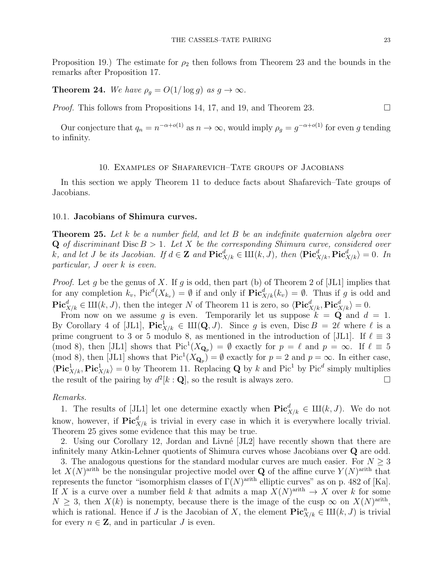Proposition 19.) The estimate for  $\rho_2$  then follows from Theorem 23 and the bounds in the remarks after Proposition 17.

**Theorem 24.** We have  $\rho_q = O(1/\log q)$  as  $q \to \infty$ .

*Proof.* This follows from Propositions 14, 17, and 19, and Theorem 23.

Our conjecture that  $q_n = n^{-\alpha + o(1)}$  as  $n \to \infty$ , would imply  $\rho_g = g^{-\alpha + o(1)}$  for even g tending to infinity.

# 10. Examples of Shafarevich–Tate groups of Jacobians

In this section we apply Theorem 11 to deduce facts about Shafarevich–Tate groups of Jacobians.

# 10.1. Jacobians of Shimura curves.

**Theorem 25.** Let k be a number field, and let B be an indefinite quaternion algebra over  $Q$  of discriminant Disc  $B > 1$ . Let X be the corresponding Shimura curve, considered over k, and let J be its Jacobian. If  $d \in \mathbf{Z}$  and  $\text{Pic}^d_{X/k} \in \mathrm{III}(k, J)$ , then  $\langle \text{Pic}^d_{X/k}, \text{Pic}^d_{X/k} \rangle = 0$ . In particular, J over k is even.

*Proof.* Let g be the genus of X. If g is odd, then part (b) of Theorem 2 of [JL1] implies that for any completion  $k_v$ ,  $Pic^d(X_{k_v}) = \emptyset$  if and only if  $Pic^d_{X/k}(k_v) = \emptyset$ . Thus if g is odd and  $\mathbf{Pic}^d_{X/k} \in \mathrm{III}(k, J)$ , then the integer N of Theorem 11 is zero, so  $\langle \mathbf{Pic}^d_{X/k}, \mathbf{Pic}^d_{X/k} \rangle = 0$ .

From now on we assume g is even. Temporarily let us suppose  $k = \mathbf{Q}$  and  $d = 1$ . By Corollary 4 of [JL1],  $\text{Pic}^1_{X/k} \in \text{III}(\mathbf{Q}, J)$ . Since g is even,  $\text{Disc } B = 2\ell$  where  $\ell$  is a prime congruent to 3 or 5 modulo 8, as mentioned in the introduction of [JL1]. If  $\ell \equiv 3$ (mod 8), then [JL1] shows that  $Pic^{-1}(X_{\mathbf{Q}_p}) = \emptyset$  exactly for  $p = \ell$  and  $p = \infty$ . If  $\ell \equiv 5$ (mod 8), then [JL1] shows that  $Pic^1(X_{\mathbf{Q}_p}) = \emptyset$  exactly for  $p = 2$  and  $p = \infty$ . In either case,  $\langle \text{Pic}^1_{X/k}, \text{Pic}^1_{X/k} \rangle = 0$  by Theorem 11. Replacing Q by k and Pic<sup>1</sup> by Pic<sup>4</sup> simply multiplies the result of the pairing by  $d^2[k : \mathbf{Q}]$ , so the result is always zero.

# Remarks.

1. The results of [JL1] let one determine exactly when  $\text{Pic}^d_{X/k} \in \mathrm{III}(k, J)$ . We do not know, however, if  $\operatorname{Pic}^d_{X/k}$  is trivial in every case in which it is everywhere locally trivial. Theorem 25 gives some evidence that this may be true.

2. Using our Corollary 12, Jordan and Livné [JL2] have recently shown that there are infinitely many Atkin-Lehner quotients of Shimura curves whose Jacobians over Q are odd.

3. The analogous questions for the standard modular curves are much easier. For  $N \geq 3$ let  $X(N)^{\text{arith}}$  be the nonsingular projective model over **Q** of the affine curve  $Y(N)^{\text{arith}}$  that represents the functor "isomorphism classes of  $\Gamma(N)^{\text{arith}}$  elliptic curves" as on p. 482 of [Ka]. If X is a curve over a number field k that admits a map  $X(N)^{arith} \to X$  over k for some  $N \geq 3$ , then  $X(k)$  is nonempty, because there is the image of the cusp  $\infty$  on  $X(N)^{\text{arith}}$ , which is rational. Hence if J is the Jacobian of X, the element  $\mathbf{Pic}^n_{X/k} \in \mathrm{III}(k, J)$  is trivial for every  $n \in \mathbb{Z}$ , and in particular J is even.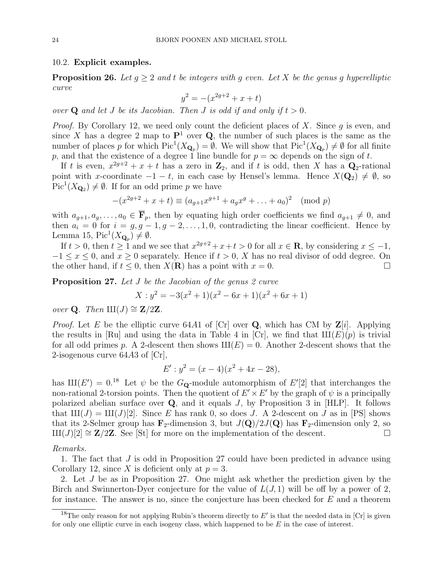### 10.2. Explicit examples.

**Proposition 26.** Let  $g \geq 2$  and t be integers with g even. Let X be the genus g hyperelliptic curve

$$
y^2 = -(x^{2g+2} + x + t)
$$

over Q and let J be its Jacobian. Then J is odd if and only if  $t > 0$ .

*Proof.* By Corollary 12, we need only count the deficient places of X. Since q is even, and since X has a degree 2 map to  $\mathbf{P}^1$  over Q, the number of such places is the same as the number of places p for which  $Pic^1(X_{\mathbf{Q}_p}) = \emptyset$ . We will show that  $Pic^1(X_{\mathbf{Q}_p}) \neq \emptyset$  for all finite p, and that the existence of a degree 1 line bundle for  $p = \infty$  depends on the sign of t.

If t is even,  $x^{2g+2} + x + t$  has a zero in  $\mathbb{Z}_2$ , and if t is odd, then X has a  $\mathbb{Q}_2$ -rational point with x-coordinate  $-1-t$ , in each case by Hensel's lemma. Hence  $X(\mathbf{Q}_2) \neq \emptyset$ , so  $Pic<sup>1</sup>(X_{\mathbf{Q}_2}) \neq \emptyset$ . If for an odd prime p we have

$$
-(x^{2g+2} + x + t) \equiv (a_{g+1}x^{g+1} + a_gx^g + \dots + a_0)^2 \pmod{p}
$$

with  $a_{g+1}, a_g, \ldots, a_0 \in \overline{\mathbf{F}}_p$ , then by equating high order coefficients we find  $a_{g+1} \neq 0$ , and then  $a_i = 0$  for  $i = g, g - 1, g - 2, ..., 1, 0$ , contradicting the linear coefficient. Hence by Lemma 15,  $Pic^1(X_{\mathbf{Q}_p}) \neq \emptyset$ .

If  $t > 0$ , then  $t \ge 1$  and we see that  $x^{2g+2} + x + t > 0$  for all  $x \in \mathbb{R}$ , by considering  $x \le -1$ ,  $-1 \leq x \leq 0$ , and  $x \geq 0$  separately. Hence if  $t > 0$ , X has no real divisor of odd degree. On the other hand, if  $t \leq 0$ , then  $X(\mathbf{R})$  has a point with  $x = 0$ .

**Proposition 27.** Let J be the Jacobian of the genus 2 curve

$$
X: y^2 = -3(x^2 + 1)(x^2 - 6x + 1)(x^2 + 6x + 1)
$$

*over* **Q**. Then  $\text{III}(J) \cong \mathbf{Z}/2\mathbf{Z}$ .

*Proof.* Let E be the elliptic curve 64A1 of [Cr] over Q, which has CM by  $\mathbf{Z}[i]$ . Applying the results in [Ru] and using the data in Table 4 in [Cr], we find that  $III(E)(p)$  is trivial for all odd primes p. A 2-descent then shows  $III(E) = 0$ . Another 2-descent shows that the 2-isogenous curve 64A3 of [Cr],

$$
E': y^2 = (x - 4)(x^2 + 4x - 28),
$$

has  $III(E') = 0.18$  Let  $\psi$  be the G<sub>Q</sub>-module automorphism of E'[2] that interchanges the non-rational 2-torsion points. Then the quotient of  $E' \times E'$  by the graph of  $\psi$  is a principally polarized abelian surface over  $Q$ , and it equals J, by Proposition 3 in [HLP]. It follows that  $\text{III}(J) = \text{III}(J)[2]$ . Since E has rank 0, so does J. A 2-descent on J as in [PS] shows that its 2-Selmer group has  $\mathbf{F}_2$ -dimension 3, but  $J(\mathbf{Q})/2J(\mathbf{Q})$  has  $\mathbf{F}_2$ -dimension only 2, so  $\text{III}(J)[2] \cong \mathbb{Z}/2\mathbb{Z}$ . See [St] for more on the implementation of the descent.

# Remarks.

1. The fact that J is odd in Proposition 27 could have been predicted in advance using Corollary 12, since X is deficient only at  $p = 3$ .

2. Let J be as in Proposition 27. One might ask whether the prediction given by the Birch and Swinnerton-Dyer conjecture for the value of  $L(J, 1)$  will be off by a power of 2, for instance. The answer is no, since the conjecture has been checked for E and a theorem

<sup>&</sup>lt;sup>18</sup>The only reason for not applying Rubin's theorem directly to  $E'$  is that the needed data in [Cr] is given for only one elliptic curve in each isogeny class, which happened to be  $E$  in the case of interest.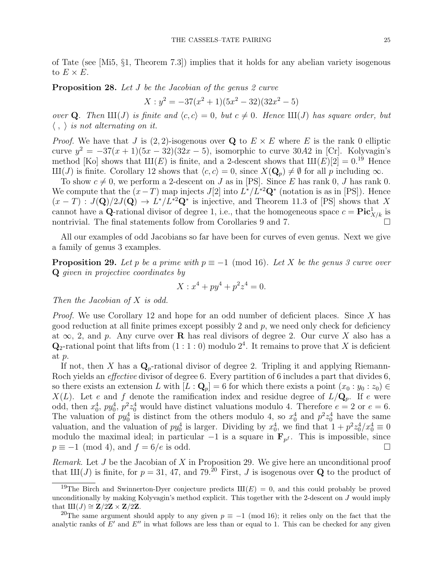of Tate (see [Mi5, §1, Theorem 7.3]) implies that it holds for any abelian variety isogenous to  $E \times E$ .

**Proposition 28.** Let J be the Jacobian of the genus 2 curve

$$
X: y^2 = -37(x^2 + 1)(5x^2 - 32)(32x^2 - 5)
$$

over **Q**. Then  $\text{III}(J)$  is finite and  $\langle c, c \rangle = 0$ , but  $c \neq 0$ . Hence  $\text{III}(J)$  has square order, but  $\langle , \rangle$  is not alternating on it.

*Proof.* We have that J is  $(2, 2)$ -isogenous over Q to  $E \times E$  where E is the rank 0 elliptic curve  $y^2 = -37(x+1)(5x-32)(32x-5)$ , isomorphic to curve 30A2 in [Cr]. Kolyvagin's method [Ko] shows that  $III(E)$  is finite, and a 2-descent shows that  $III(E)[2] = 0.19$  Hence  $\text{III}(J)$  is finite. Corollary 12 shows that  $\langle c, c \rangle = 0$ , since  $X(\mathbf{Q}_p) \neq \emptyset$  for all p including  $\infty$ .

To show  $c \neq 0$ , we perform a 2-descent on J as in [PS]. Since E has rank 0, J has rank 0. We compute that the  $(x-T)$  map injects  $J[2]$  into  $L^*/L^{*2} \mathbf{Q}^*$  (notation is as in [PS]). Hence  $(x-T): J(\mathbf{Q})/2J(\mathbf{Q}) \to L^*/L^{*2}\mathbf{Q}^*$  is injective, and Theorem 11.3 of [PS] shows that X cannot have a Q-rational divisor of degree 1, i.e., that the homogeneous space  $c = Pic^1_{X/k}$  is nontrivial. The final statements follow from Corollaries 9 and 7.

All our examples of odd Jacobians so far have been for curves of even genus. Next we give a family of genus 3 examples.

**Proposition 29.** Let p be a prime with  $p \equiv -1 \pmod{16}$ . Let X be the genus 3 curve over Q given in projective coordinates by

$$
X: x^4 + py^4 + p^2 z^4 = 0.
$$

Then the Jacobian of X is odd.

*Proof.* We use Corollary 12 and hope for an odd number of deficient places. Since X has good reduction at all finite primes except possibly 2 and  $p$ , we need only check for deficiency at  $\infty$ , 2, and p. Any curve over **R** has real divisors of degree 2. Our curve X also has a  $\mathbf{Q}_2$ -rational point that lifts from  $(1:1:0)$  modulo  $2^4$ . It remains to prove that X is deficient at p.

If not, then X has a  $\mathbf{Q}_p$ -rational divisor of degree 2. Tripling it and applying Riemann-Roch yields an effective divisor of degree 6. Every partition of 6 includes a part that divides 6, so there exists an extension L with  $[L: \mathbf{Q}_p] = 6$  for which there exists a point  $(x_0 : y_0 : z_0) \in$  $X(L)$ . Let e and f denote the ramification index and residue degree of  $L/\mathbf{Q}_p$ . If e were odd, then  $x_0^4$ ,  $py_0^4$ ,  $p^2z_0^4$  would have distinct valuations modulo 4. Therefore  $e = 2$  or  $e = 6$ . The valuation of  $py_0^4$  is distinct from the others modulo 4, so  $x_0^4$  and  $p^2z_0^4$  have the same valuation, and the valuation of  $py_0^4$  is larger. Dividing by  $x_0^4$ , we find that  $1 + p^2 z_0^4 / x_0^4 \equiv 0$ modulo the maximal ideal; in particular  $-1$  is a square in  $\mathbf{F}_{p^f}$ . This is impossible, since  $p \equiv -1 \pmod{4}$ , and  $f = 6/e$  is odd.

Remark. Let  $J$  be the Jacobian of  $X$  in Proposition 29. We give here an unconditional proof that  $III(J)$  is finite, for  $p = 31, 47$ , and 79.<sup>20</sup> First, J is isogenous over **Q** to the product of

<sup>&</sup>lt;sup>19</sup>The Birch and Swinnerton-Dyer conjecture predicts  $III(E) = 0$ , and this could probably be proved unconditionally by making Kolyvagin's method explicit. This together with the 2-descent on  $J$  would imply that  $III(J) \cong Z/2Z \times Z/2Z$ .

<sup>&</sup>lt;sup>20</sup>The same argument should apply to any given  $p \equiv -1 \pmod{16}$ ; it relies only on the fact that the analytic ranks of  $E'$  and  $E''$  in what follows are less than or equal to 1. This can be checked for any given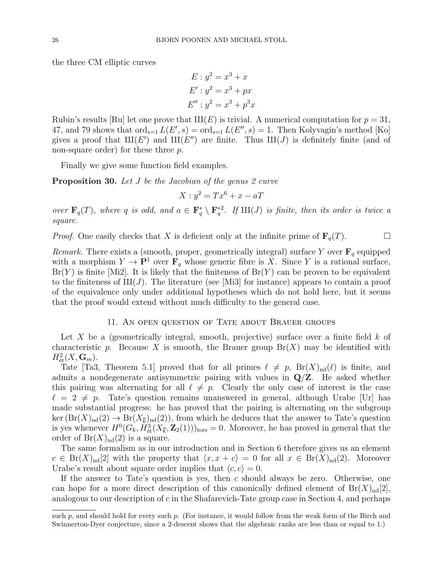the three CM elliptic curves

$$
E: y2 = x3 + x
$$
  
\n
$$
E': y2 = x3 + px
$$
  
\n
$$
E''': y2 = x3 + p3x
$$

Rubin's results [Ru] let one prove that  $III(E)$  is trivial. A numerical computation for  $p = 31$ , 47, and 79 shows that  $\text{ord}_{s=1} L(E', s) = \text{ord}_{s=1} L(E'', s) = 1$ . Then Kolyvagin's method [Ko] gives a proof that  $III(E')$  and  $III(E'')$  are finite. Thus  $III(J)$  is definitely finite (and of non-square order) for these three p.

Finally we give some function field examples.

**Proposition 30.** Let J be the Jacobian of the genus 2 curve

 $X: y^2 = Tx^6 + x - aT$ 

over  $\mathbf{F}_q(T)$ , where q is odd, and  $a \in \mathbf{F}_q^* \setminus \mathbf{F}_q^{*2}$ . If  $\text{III}(J)$  is finite, then its order is twice a square.

*Proof.* One easily checks that X is deficient only at the infinite prime of  $\mathbf{F}_q(T)$ .

Remark. There exists a (smooth, proper, geometrically integral) surface Y over  $\mathbf{F}_q$  equipped with a morphism  $Y \to \mathbf{P}^1$  over  $\mathbf{F}_q$  whose generic fibre is X. Since Y is a rational surface,  $Br(Y)$  is finite [Mi2]. It is likely that the finiteness of  $Br(Y)$  can be proven to be equivalent to the finiteness of  $III(J)$ . The literature (see [Mi3] for instance) appears to contain a proof of the equivalence only under additional hypotheses which do not hold here, but it seems that the proof would extend without much difficulty to the general case.

# 11. An open question of Tate about Brauer groups

Let X be a (geometrically integral, smooth, projective) surface over a finite field  $k$  of characteristic p. Because X is smooth, the Brauer group  $Br(X)$  may be identified with  $H^2_{\text{\'et}}(X, {\bf G}_m).$ 

Tate [Ta3, Theorem 5.1] proved that for all primes  $\ell \neq p$ ,  $Br(X)_{nd}(\ell)$  is finite, and admits a nondegenerate antisymmetric pairing with values in  $\mathbf{Q}/\mathbf{Z}$ . He asked whether this pairing was alternating for all  $\ell \neq p$ . Clearly the only case of interest is the case  $\ell = 2 \neq p$ . Tate's question remains unanswered in general, although Urabe [Ur] has made substantial progress: he has proved that the pairing is alternating on the subgroup  $\ker (\text{Br}(X)_{\text{nd}}(2) \to \text{Br}(X_{\overline{k}})_{\text{nd}}(2))$ , from which he deduces that the answer to Tate's question is yes whenever  $H^0(G_k, H^3_{\text{\'et}}(X_{\overline{k}}, \mathbf{Z}_2(1)))_{\text{tors}} = 0$ . Moreover, he has proved in general that the order of  $Br(X)_{nd}(2)$  is a square.

The same formalism as in our introduction and in Section 6 therefore gives us an element  $c \in Br(X)_{\text{nd}}[2]$  with the property that  $\langle x, x + c \rangle = 0$  for all  $x \in Br(X)_{\text{nd}}(2)$ . Moreover Urabe's result about square order implies that  $\langle c, c \rangle = 0$ .

If the answer to Tate's question is yes, then  $c$  should always be zero. Otherwise, one can hope for a more direct description of this canonically defined element of  $Br(X)_{nd}[2]$ , analogous to our description of  $c$  in the Shafarevich-Tate group case in Section 4, and perhaps

such  $p$ , and should hold for every such  $p$ . (For instance, it would follow from the weak form of the Birch and Swinnerton-Dyer conjecture, since a 2-descent shows that the algebraic ranks are less than or equal to 1.)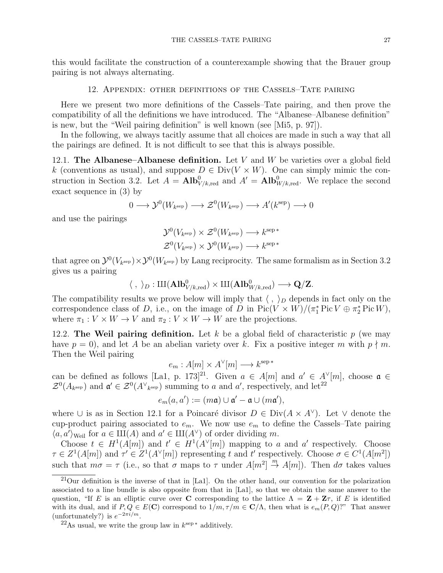this would facilitate the construction of a counterexample showing that the Brauer group pairing is not always alternating.

# 12. Appendix: other definitions of the Cassels–Tate pairing

Here we present two more definitions of the Cassels–Tate pairing, and then prove the compatibility of all the definitions we have introduced. The "Albanese–Albanese definition" is new, but the "Weil pairing definition" is well known (see [Mi5, p. 97]).

In the following, we always tacitly assume that all choices are made in such a way that all the pairings are defined. It is not difficult to see that this is always possible.

12.1. The Albanese–Albanese definition. Let V and W be varieties over a global field k (conventions as usual), and suppose  $D \in Div(V \times W)$ . One can simply mimic the construction in Section 3.2. Let  $A = \text{Alb}_{V/k, \text{red}}^0$  and  $A' = \text{Alb}_{W/k, \text{red}}^0$ . We replace the second exact sequence in (3) by

$$
0 \longrightarrow \mathcal{Y}^0(W_{k^{\text{sep}}}) \longrightarrow \mathcal{Z}^0(W_{k^{\text{sep}}}) \longrightarrow A'(k^{\text{sep}}) \longrightarrow 0
$$

and use the pairings

$$
\mathcal{Y}^0(V_{k^{\text{sep}}}) \times \mathcal{Z}^0(W_{k^{\text{sep}}}) \longrightarrow k^{\text{sep} *}
$$
  

$$
\mathcal{Z}^0(V_{k^{\text{sep}}}) \times \mathcal{Y}^0(W_{k^{\text{sep}}}) \longrightarrow k^{\text{sep} *}
$$

that agree on  $\mathcal{Y}^0(V_{k^{\text{sep}}}) \times \mathcal{Y}^0(W_{k^{\text{sep}}})$  by Lang reciprocity. The same formalism as in Section 3.2 gives us a pairing

$$
\langle\;,\;\rangle_D:\mathrm{III}(\mathbf{Alb}^0_{V/k,\mathrm{red}})\times\mathrm{III}(\mathbf{Alb}^0_{W/k,\mathrm{red}})\longrightarrow \mathbf{Q}/\mathbf{Z}.
$$

The compatibility results we prove below will imply that  $\langle , \rangle_D$  depends in fact only on the correspondence class of D, i.e., on the image of D in  $Pic(V \times W)/(\pi_1^* Pic V \oplus \pi_2^* Pic W)$ , where  $\pi_1 : V \times W \to V$  and  $\pi_2 : V \times W \to W$  are the projections.

12.2. The Weil pairing definition. Let  $k$  be a global field of characteristic  $p$  (we may have  $p = 0$ , and let A be an abelian variety over k. Fix a positive integer m with  $p \nmid m$ . Then the Weil pairing

 $e_m : A[m] \times A^{\vee}[m] \longrightarrow k^{\text{sep } *}$ 

can be defined as follows [La1, p. 173]<sup>21</sup>. Given  $a \in A[m]$  and  $a' \in A^{\vee}[m]$ , choose  $\mathfrak{a} \in A$  $\mathcal{Z}^0(A_{k^{\text{sep}}})$  and  $\mathfrak{a}' \in \mathcal{Z}^0(A^{\vee}_{k^{\text{sep}}})$  summing to a and a', respectively, and let<sup>22</sup>

$$
e_m(a,a') := (m\mathfrak{a}) \cup \mathfrak{a}' - \mathfrak{a} \cup (m\mathfrak{a}'),
$$

where  $\cup$  is as in Section 12.1 for a Poincaré divisor  $D \in Div(A \times A^{\vee})$ . Let  $\vee$  denote the cup-product pairing associated to  $e_m$ . We now use  $e_m$  to define the Cassels–Tate pairing  $\langle a, a' \rangle_{\text{Weil}}$  for  $a \in \text{III}(A)$  and  $a' \in \text{III}(A^{\vee})$  of order dividing m.

Choose  $t \in H^1(A[m])$  and  $t' \in H^1(A^{\vee}[m])$  mapping to a and a' respectively. Choose  $\tau \in Z^1(A[m])$  and  $\tau' \in Z^1(A^{\vee}[m])$  representing t and t' respectively. Choose  $\sigma \in C^1(A[m^2])$ such that  $m\sigma = \tau$  (i.e., so that  $\sigma$  maps to  $\tau$  under  $A[m^2] \stackrel{m}{\rightarrow} A[m]$ ). Then  $d\sigma$  takes values

 $^{21}$ Our definition is the inverse of that in [La1]. On the other hand, our convention for the polarization associated to a line bundle is also opposite from that in [La1], so that we obtain the same answer to the question, "If E is an elliptic curve over C corresponding to the lattice  $\Lambda = \mathbf{Z} + \mathbf{Z}\tau$ , if E is identified with its dual, and if  $P, Q \in E(\mathbf{C})$  correspond to  $1/m, \tau/m \in \mathbf{C}/\Lambda$ , then what is  $e_m(P, Q)$ ?" That answer (unfortunately?) is  $e^{-2\pi i/m}$ .

 $^{22}$ As usual, we write the group law in  $k^{\text{sep}}$  \* additively.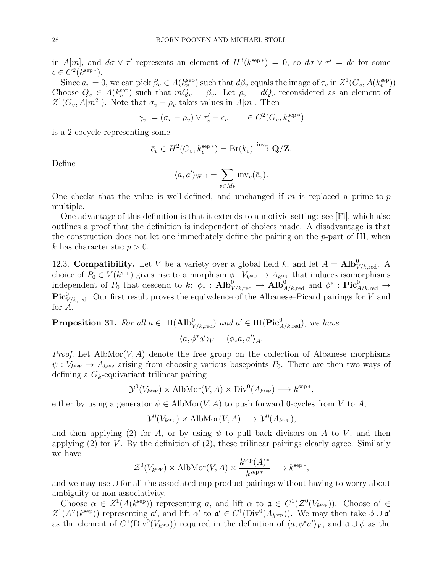in  $A[m]$ , and  $d\sigma \vee \tau'$  represents an element of  $H^3(k^{\text{sep}}^*) = 0$ , so  $d\sigma \vee \tau' = d\bar{\epsilon}$  for some  $\bar{\epsilon} \in C^2(k^{\text{sep }*}).$ 

Since  $a_v = 0$ , we can pick  $\beta_v \in A(k_v^{\text{sep}})$  such that  $d\beta_v$  equals the image of  $\tau_v$  in  $Z^1(G_v, A(k_v^{\text{sep}}))$ Choose  $Q_v \in A(k_v^{\text{sep}})$  such that  $mQ_v = \beta_v$ . Let  $\rho_v = dQ_v$  reconsidered as an element of  $Z^1(G_v, A[m^2])$ . Note that  $\sigma_v - \rho_v$  takes values in  $A[m]$ . Then

$$
\bar{\gamma}_v := (\sigma_v - \rho_v) \vee \tau'_v - \bar{\epsilon}_v \qquad \in C^2(G_v, k_v^{\text{sep}*})
$$

is a 2-cocycle representing some

$$
\bar{c}_v \in H^2(G_v, k_v^{\text{sep}}) = \text{Br}(k_v) \xrightarrow{\text{inv}_v} \mathbf{Q}/\mathbf{Z}.
$$

Define

$$
\langle a, a' \rangle_{\text{Weil}} = \sum_{v \in M_k} \text{inv}_v(\bar{c}_v).
$$

One checks that the value is well-defined, and unchanged if m is replaced a prime-to-p multiple.

One advantage of this definition is that it extends to a motivic setting: see [Fl], which also outlines a proof that the definition is independent of choices made. A disadvantage is that the construction does not let one immediately define the pairing on the  $p$ -part of  $III$ , when k has characteristic  $p > 0$ .

12.3. **Compatibility.** Let V be a variety over a global field k, and let  $A = \text{Alb}_{V/k, \text{red}}^0$ . A choice of  $P_0 \in V(k^{\text{sep}})$  gives rise to a morphism  $\phi: V_{k^{\text{sep}}} \to A_{k^{\text{sep}}}$  that induces isomorphisms independent of  $P_0$  that descend to k:  $\phi_*$ :  $\text{Alb}^0_{V/k, \text{red}} \to \text{Alb}^0_{A/k, \text{red}}$  and  $\phi^*$ :  $\text{Pic}^0_{A/k, \text{red}} \to$  $\operatorname{Pic}^0_{V/k, \text{red}}$ . Our first result proves the equivalence of the Albanese–Picard pairings for V and for A.

**Proposition 31.** For all  $a \in \mathrm{III}(\mathbf{Alb}_{V/k, \mathrm{red}}^0)$  and  $a' \in \mathrm{III}(\mathbf{Pic}_{A/k, \mathrm{red}}^0)$ , we have

$$
\langle a, \phi^* a' \rangle_V = \langle \phi_* a, a' \rangle_A.
$$

*Proof.* Let AlbMor $(V, A)$  denote the free group on the collection of Albanese morphisms  $\psi: V_{k^{\text{sep}}} \to A_{k^{\text{sep}}}$  arising from choosing various basepoints  $P_0$ . There are then two ways of defining a  $G_k$ -equivariant trilinear pairing

$$
\mathcal{Y}^0(V_{k^{\text{sep}}}) \times \text{AlbMor}(V, A) \times \text{Div}^0(A_{k^{\text{sep}}}) \longrightarrow k^{\text{sep}}^*
$$

,

either by using a generator  $\psi \in$  AlbMor $(V, A)$  to push forward 0-cycles from V to A,

$$
\mathcal{Y}^0(V_{k^{\text{sep}}}) \times \text{AlbMor}(V, A) \longrightarrow \mathcal{Y}^0(A_{k^{\text{sep}}}),
$$

and then applying (2) for A, or by using  $\psi$  to pull back divisors on A to V, and then applying  $(2)$  for V. By the definition of  $(2)$ , these trilinear pairings clearly agree. Similarly we have

$$
\mathcal{Z}^0(V_{k^{\text{sep}}}) \times \text{AlbMor}(V, A) \times \frac{k^{\text{sep}}(A)^*}{k^{\text{sep}*}} \longrightarrow k^{\text{sep}*},
$$

and we may use ∪ for all the associated cup-product pairings without having to worry about ambiguity or non-associativity.

Choose  $\alpha \in Z^1(A(k^{\text{sep}}))$  representing a, and lift  $\alpha$  to  $\mathfrak{a} \in C^1(\mathcal{Z}^0(V_{k^{\text{sep}}}))$ . Choose  $\alpha' \in$  $Z^1(A^{\vee}(k^{\text{sep}}))$  representing a', and lift  $\alpha'$  to  $\mathfrak{a}' \in C^1(\text{Div}^0(A_{k^{\text{sep}}}))$ . We may then take  $\phi \cup \mathfrak{a}'$ as the element of  $C^1(\text{Div}^0(V_{k^{\text{sep}}}))$  required in the definition of  $\langle a, \phi^* a' \rangle_V$ , and  $\mathfrak{a} \cup \phi$  as the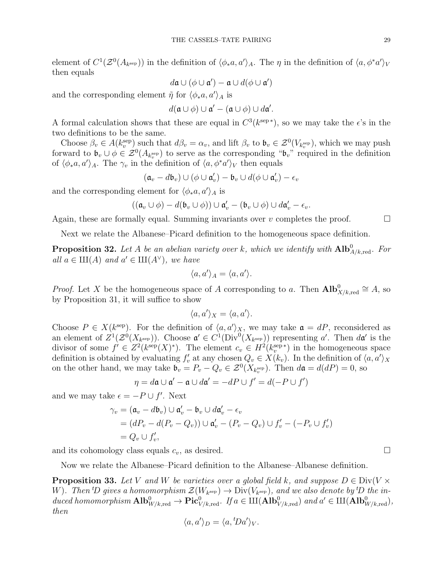element of  $C^1(\mathcal{Z}^0(A_{k^{\text{sep}}}))$  in the definition of  $\langle \phi_*a, a'\rangle_A$ . The  $\eta$  in the definition of  $\langle a, \phi^*a'\rangle_V$ then equals

$$
d\mathfrak{a}\cup(\phi\cup\mathfrak{a}')-\mathfrak{a}\cup d(\phi\cup\mathfrak{a}')
$$

and the corresponding element  $\tilde{\eta}$  for  $\langle \phi_* a, a' \rangle_A$  is

$$
d(\mathfrak{a}\cup\phi)\cup\mathfrak{a}'-(\mathfrak{a}\cup\phi)\cup d\mathfrak{a}'.
$$

A formal calculation shows that these are equal in  $C^3(k^{\text{sep}})$ , so we may take the  $\epsilon$ 's in the two definitions to be the same.

Choose  $\beta_v \in A(k_v^{\text{sep}})$  such that  $d\beta_v = \alpha_v$ , and lift  $\beta_v$  to  $\mathfrak{b}_v \in \mathcal{Z}^0(V_{k_v^{\text{sep}}})$ , which we may push forward to  $\mathfrak{b}_v \cup \phi \in \mathcal{Z}^0(A_{k_v^{\text{sep}}})$  to serve as the corresponding " $\mathfrak{b}_v$ " required in the definition of  $\langle \phi_* a, a' \rangle_A$ . The  $\gamma_v$  in the definition of  $\langle a, \phi^* a' \rangle_V$  then equals

$$
(\mathfrak{a}_v - d\mathfrak{b}_v) \cup (\phi \cup \mathfrak{a}'_v) - \mathfrak{b}_v \cup d(\phi \cup \mathfrak{a}'_v) - \epsilon_v
$$

and the corresponding element for  $\langle \phi_* a, a' \rangle_A$  is

$$
((\mathfrak{a}_v \cup \phi) - d(\mathfrak{b}_v \cup \phi)) \cup \mathfrak{a}'_v - (\mathfrak{b}_v \cup \phi) \cup d\mathfrak{a}'_v - \epsilon_v.
$$

Again, these are formally equal. Summing invariants over v completes the proof.  $\Box$ 

Next we relate the Albanese–Picard definition to the homogeneous space definition.

**Proposition 32.** Let A be an abelian variety over k, which we identify with  $\text{Alb}^0_{A/k, \text{red}}$ . For all  $a \in \mathrm{III}(A)$  and  $a' \in \mathrm{III}(A^{\vee})$ , we have

$$
\langle a, a' \rangle_A = \langle a, a' \rangle.
$$

*Proof.* Let X be the homogeneous space of A corresponding to a. Then  $\text{Alb}^0_{X/k,\text{red}} \cong A$ , so by Proposition 31, it will suffice to show

$$
\langle a, a' \rangle_X = \langle a, a' \rangle.
$$

Choose  $P \in X(k^{\text{sep}})$ . For the definition of  $\langle a, a' \rangle_X$ , we may take  $\mathfrak{a} = dP$ , reconsidered as an element of  $Z^1(\mathcal{Z}^0(X_{k^{\text{sep}}}))$ . Choose  $\mathfrak{a}' \in C^1(\text{Div}^0(X_{k^{\text{sep}}}))$  representing a'. Then  $d\mathfrak{a}'$  is the divisor of some  $f' \in Z^2(k^{\text{sep}}(X)^*)$ . The element  $c_v \in H^2(k_v^{\text{sep}*})$  in the homogeneous space definition is obtained by evaluating  $f'_v$  at any chosen  $Q_v \in X(k_v)$ . In the definition of  $\langle a, a' \rangle_X$ on the other hand, we may take  $\mathfrak{b}_v = P_v - Q_v \in \mathcal{Z}^0(X_{k_v^{\text{sep}}})$ . Then  $d\mathfrak{a} = d(dP) = 0$ , so

$$
\eta = d\mathfrak{a} \cup \mathfrak{a}' - \mathfrak{a} \cup d\mathfrak{a}' = -dP \cup f' = d(-P \cup f')
$$

and we may take  $\epsilon = -P \cup f'$ . Next

$$
\gamma_v = (\mathfrak{a}_v - d\mathfrak{b}_v) \cup \mathfrak{a}'_v - \mathfrak{b}_v \cup d\mathfrak{a}'_v - \epsilon_v
$$
  
=  $(dP_v - d(P_v - Q_v)) \cup \mathfrak{a}'_v - (P_v - Q_v) \cup f'_v - (-P_v \cup f'_v)$   
=  $Q_v \cup f'_v$ ,

and its cohomology class equals  $c_v$ , as desired.

Now we relate the Albanese–Picard definition to the Albanese–Albanese definition.

**Proposition 33.** Let V and W be varieties over a global field k, and suppose  $D \in Div(V \times V)$ W). Then <sup>t</sup>D gives a homomorphism  $\mathcal{Z}(W_{k^{\text{sep}}}) \to \text{Div}(V_{k^{\text{sep}}})$ , and we also denote by <sup>t</sup>D the induced homomorphism  $\text{Alb}^0_{W/k, \text{red}} \to \text{Pic}^0_{V/k, \text{red}}$ . If  $a \in \text{III}(\text{Alb}^0_{V/k, \text{red}})$  and  $a' \in \text{III}(\text{Alb}^0_{W/k, \text{red}})$ , then

$$
\langle a, a' \rangle_D = \langle a, \, Da' \rangle_V.
$$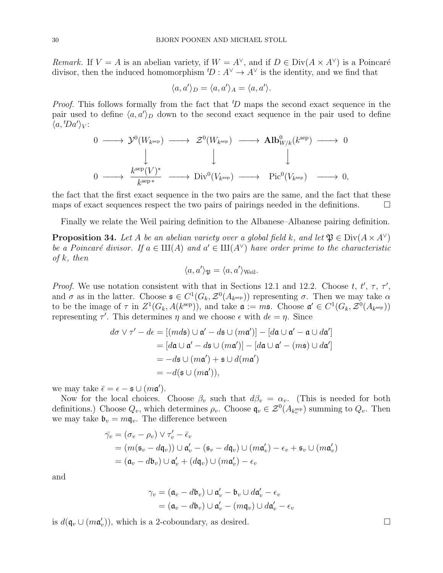Remark. If  $V = A$  is an abelian variety, if  $W = A^{\vee}$ , and if  $D \in Div(A \times A^{\vee})$  is a Poincaré divisor, then the induced homomorphism  ${}^tD : A^{\vee} \to A^{\vee}$  is the identity, and we find that

$$
\langle a, a' \rangle_D = \langle a, a' \rangle_A = \langle a, a' \rangle.
$$

*Proof.* This follows formally from the fact that  ${}^t\!D$  maps the second exact sequence in the pair used to define  $\langle a, a' \rangle_D$  down to the second exact sequence in the pair used to define  $\langle a, {}^t\!Da'\rangle_V$ :

$$
\begin{array}{ccccccc}\n0 & \longrightarrow & \mathcal{Y}^0(W_{k^{\text{sep}}}) & \longrightarrow & \mathcal{Z}^0(W_{k^{\text{sep}}}) & \longrightarrow & \mathbf{Alb}^0_{W/k}(k^{\text{sep}}) & \longrightarrow & 0 \\
& & & & & & & \\
0 & \longrightarrow & \frac{k^{\text{sep}}(V)^*}{k^{\text{sep}}} & \longrightarrow & \text{Div}^0(V_{k^{\text{sep}}}) & \longrightarrow & \text{Pic}^0(V_{k^{\text{sep}}}) & \longrightarrow & 0,\n\end{array}
$$

the fact that the first exact sequence in the two pairs are the same, and the fact that these maps of exact sequences respect the two pairs of pairings needed in the definitions.

Finally we relate the Weil pairing definition to the Albanese–Albanese pairing definition.

**Proposition 34.** Let A be an abelian variety over a global field k, and let  $\mathfrak{P} \in \text{Div}(A \times A^{\vee})$ be a Poincaré divisor. If  $a \in III(A)$  and  $a' \in III(A^{\vee})$  have order prime to the characteristic of  $k$ , then

$$
\langle a, a' \rangle_{\mathfrak{P}} = \langle a, a' \rangle_{\text{Weil}}.
$$

*Proof.* We use notation consistent with that in Sections 12.1 and 12.2. Choose t, t',  $\tau$ ,  $\tau'$ , and  $\sigma$  as in the latter. Choose  $\mathfrak{s} \in C^1(G_k, \mathcal{Z}^0(A_{k^{\text{sep}}}))$  representing  $\sigma$ . Then we may take  $\alpha$ to be the image of  $\tau$  in  $Z^1(G_k, A(k^{\text{sep}}))$ , and take  $\mathfrak{a} := m\mathfrak{s}$ . Choose  $\mathfrak{a}' \in C^1(G_k, \mathcal{Z}^0(A_{k^{\text{sep}}}))$ representing  $\tau'$ . This determines  $\eta$  and we choose  $\epsilon$  with  $d\epsilon = \eta$ . Since

$$
d\sigma \vee \tau' - d\epsilon = [(md\mathfrak{s}) \cup \mathfrak{a}' - d\mathfrak{s} \cup (m\mathfrak{a}')] - [d\mathfrak{a} \cup \mathfrak{a}' - \mathfrak{a} \cup d\mathfrak{a}']
$$
  
= 
$$
[d\mathfrak{a} \cup \mathfrak{a}' - d\mathfrak{s} \cup (m\mathfrak{a}')] - [d\mathfrak{a} \cup \mathfrak{a}' - (m\mathfrak{s}) \cup d\mathfrak{a}']
$$
  
= 
$$
-d\mathfrak{s} \cup (m\mathfrak{a}') + \mathfrak{s} \cup d(m\mathfrak{a}')
$$
  
= 
$$
-d(\mathfrak{s} \cup (m\mathfrak{a}')),
$$

we may take  $\bar{\epsilon} = \epsilon - \mathfrak{s} \cup (m\mathfrak{a}')$ .

Now for the local choices. Choose  $\beta_v$  such that  $d\beta_v = \alpha_v$ . (This is needed for both definitions.) Choose  $Q_v$ , which determines  $\rho_v$ . Choose  $\mathfrak{q}_v \in \mathcal{Z}^0(A_{k_v^{\text{sep}}})$  summing to  $Q_v$ . Then we may take  $\mathfrak{b}_v = m\mathfrak{q}_v$ . The difference between

$$
\begin{aligned}\n\bar{\gamma_v} &= (\sigma_v - \rho_v) \vee \tau_v' - \bar{\epsilon}_v \\
&= (m(\mathfrak{s}_v - d\mathfrak{q}_v)) \cup \mathfrak{a}_v' - (\mathfrak{s}_v - d\mathfrak{q}_v) \cup (m\mathfrak{a}_v') - \epsilon_v + \mathfrak{s}_v \cup (m\mathfrak{a}_v') \\
&= (\mathfrak{a}_v - d\mathfrak{b}_v) \cup \mathfrak{a}_v' + (d\mathfrak{q}_v) \cup (m\mathfrak{a}_v') - \epsilon_v\n\end{aligned}
$$

and

$$
\gamma_v = (\mathfrak{a}_v - d\mathfrak{b}_v) \cup \mathfrak{a}'_v - \mathfrak{b}_v \cup d\mathfrak{a}'_v - \epsilon_v
$$

$$
= (\mathfrak{a}_v - d\mathfrak{b}_v) \cup \mathfrak{a}'_v - (m\mathfrak{q}_v) \cup d\mathfrak{a}'_v - \epsilon_v
$$

is  $d(\mathfrak{q}_v \cup (m\mathfrak{a}'_v))$ , which is a 2-coboundary, as desired.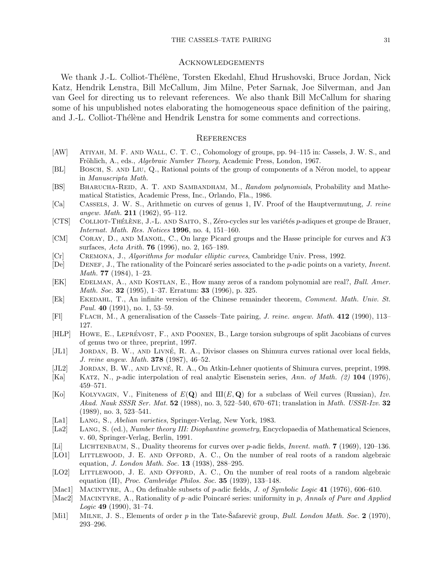#### THE CASSELS–TATE PAIRING 31

#### Acknowledgements

We thank J.-L. Colliot-Thélène, Torsten Ekedahl, Ehud Hrushovski, Bruce Jordan, Nick Katz, Hendrik Lenstra, Bill McCallum, Jim Milne, Peter Sarnak, Joe Silverman, and Jan van Geel for directing us to relevant references. We also thank Bill McCallum for sharing some of his unpublished notes elaborating the homogeneous space definition of the pairing, and J.-L. Colliot-Thélène and Hendrik Lenstra for some comments and corrections.

### **REFERENCES**

- [AW] Atiyah, M. F. and Wall, C. T. C., Cohomology of groups, pp. 94–115 in: Cassels, J. W. S., and Fröhlich, A., eds., Algebraic Number Theory, Academic Press, London, 1967.
- [BL] Bosch, S. and Liu, Q., Rational points of the group of components of a N´eron model, to appear in Manuscripta Math.
- [BS] BHARUCHA-REID, A. T. AND SAMBANDHAM, M., Random polynomials, Probability and Mathematical Statistics, Academic Press, Inc., Orlando, Fla., 1986.
- [Ca] Cassels, J. W. S., Arithmetic on curves of genus 1, IV. Proof of the Hauptvermutung, J. reine angew. Math. 211  $(1962)$ , 95-112.
- $[CTS]$  COLLIOT-THÉLÈNE, J.-L. AND SAITO, S., Zéro-cycles sur les variétés p-adiques et groupe de Brauer, Internat. Math. Res. Notices 1996, no. 4, 151–160.
- [CM] CORAY, D., AND MANOIL, C., On large Picard groups and the Hasse principle for curves and K3 surfaces, Acta Arith. 76 (1996), no. 2, 165–189.
- [Cr] Cremona, J., Algorithms for modular elliptic curves, Cambridge Univ. Press, 1992.
- $[De]$  DENEF, J., The rationality of the Poincaré series associated to the p-adic points on a variety, Invent. Math. 77 (1984), 1–23.
- [EK] EDELMAN, A., AND KOSTLAN, E., How many zeros of a random polynomial are real?, Bull. Amer. Math. Soc. 32 (1995), 1-37. Erratum: 33 (1996), p. 325.
- [Ek] Ekedahl, T., An infinite version of the Chinese remainder theorem, Comment. Math. Univ. St. Paul. 40 (1991), no. 1, 53–59.
- [Fl] Flach, M., A generalisation of the Cassels–Tate pairing, J. reine. angew. Math. 412 (1990), 113– 127.
- [HLP] HOWE, E., LEPRÉVOST, F., AND POONEN, B., Large torsion subgroups of split Jacobians of curves of genus two or three, preprint, 1997.
- [JL1] JORDAN, B. W., AND LIVNÉ, R. A., Divisor classes on Shimura curves rational over local fields, J. reine angew. Math. 378 (1987), 46–52.
- $[JL2]$  JORDAN, B. W., AND LIVNÉ, R. A., On Atkin-Lehner quotients of Shimura curves, preprint, 1998.
- [Ka] Katz, N., p-adic interpolation of real analytic Eisenstein series, Ann. of Math. (2) 104 (1976), 459–571.
- [Ko] KOLYVAGIN, V., Finiteness of  $E(Q)$  and  $\mathop{\rm III}\nolimits(E,Q)$  for a subclass of Weil curves (Russian), Izv. Akad. Nauk SSSR Ser. Mat. **52** (1988), no. 3, 522–540, 670–671; translation in Math. USSR-Izv. **32** (1989), no. 3, 523–541.
- [La1] LANG, S., *Abelian varieties*, Springer-Verlag, New York, 1983.
- [La2] Lang, S. (ed.), Number theory III: Diophantine geometry, Encyclopaedia of Mathematical Sciences, v. 60, Springer-Verlag, Berlin, 1991.
- [Li] LICHTENBAUM, S., Duality theorems for curves over p-adic fields, *Invent. math.* 7 (1969), 120–136.
- [LO1] LITTLEWOOD, J. E. AND OFFORD, A. C., On the number of real roots of a random algebraic equation, *J. London Math. Soc.* **13** (1938),  $288-295$ .
- [LO2] LITTLEWOOD, J. E. AND OFFORD, A. C., On the number of real roots of a random algebraic equation (II), Proc. Cambridge Philos. Soc.  $35$  (1939), 133–148.
- [Mac1] MACINTYRE, A., On definable subsets of p-adic fields, J. of Symbolic Logic 41 (1976), 606–610.
- [Mac2] MACINTYRE, A., Rationality of  $p$ –adic Poincaré series: uniformity in p, Annals of Pure and Applied Logic 49 (1990), 31–74.
- [Mi1] MILNE, J. S., Elements of order p in the Tate-Safarevič group, Bull. London Math. Soc. 2 (1970), 293–296.